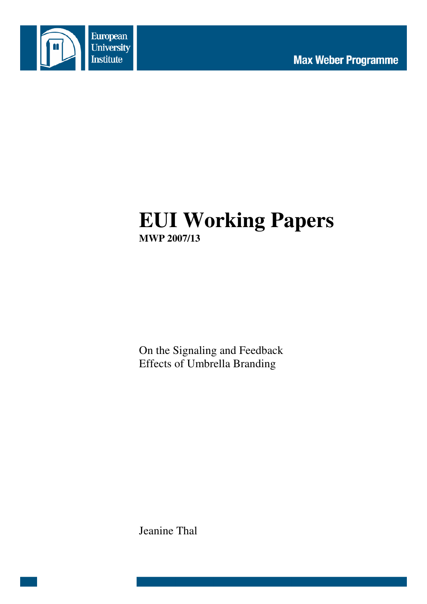

# **EUI Working Papers MWP 2007/13**

On the Signaling and Feedback Effects of Umbrella Branding

Jeanine Thal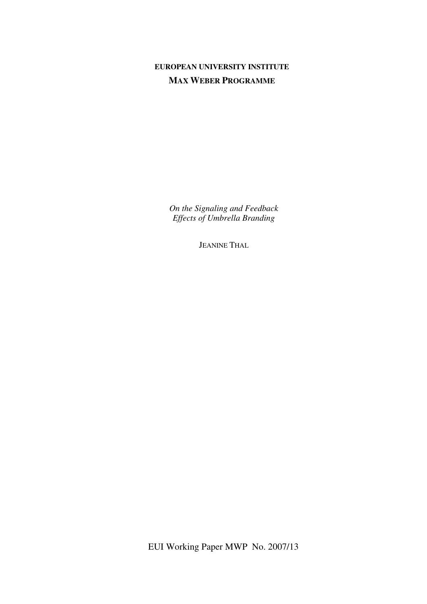## **EUROPEAN UNIVERSITY INSTITUTE MAX WEBER PROGRAMME**

*On the Signaling and Feedback Effects of Umbrella Branding* 

JEANINE THAL

EUI Working Paper MWP No. 2007/13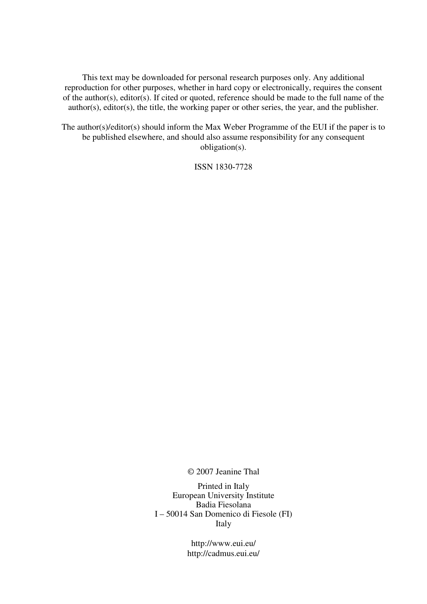This text may be downloaded for personal research purposes only. Any additional reproduction for other purposes, whether in hard copy or electronically, requires the consent of the author(s), editor(s). If cited or quoted, reference should be made to the full name of the author(s), editor(s), the title, the working paper or other series, the year, and the publisher.

The author(s)/editor(s) should inform the Max Weber Programme of the EUI if the paper is to be published elsewhere, and should also assume responsibility for any consequent obligation(s).

ISSN 1830-7728

© 2007 Jeanine Thal

Printed in Italy European University Institute Badia Fiesolana I – 50014 San Domenico di Fiesole (FI) Italy

> http://www.eui.eu/ http://cadmus.eui.eu/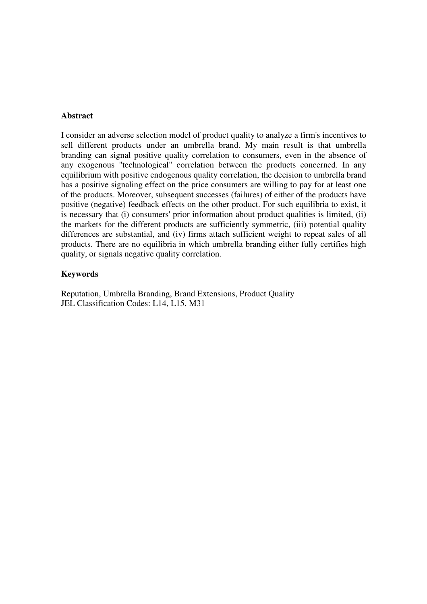### **Abstract**

I consider an adverse selection model of product quality to analyze a firm's incentives to sell different products under an umbrella brand. My main result is that umbrella branding can signal positive quality correlation to consumers, even in the absence of any exogenous "technological" correlation between the products concerned. In any equilibrium with positive endogenous quality correlation, the decision to umbrella brand has a positive signaling effect on the price consumers are willing to pay for at least one of the products. Moreover, subsequent successes (failures) of either of the products have positive (negative) feedback effects on the other product. For such equilibria to exist, it is necessary that (i) consumers' prior information about product qualities is limited, (ii) the markets for the different products are sufficiently symmetric, (iii) potential quality differences are substantial, and (iv) firms attach sufficient weight to repeat sales of all products. There are no equilibria in which umbrella branding either fully certifies high quality, or signals negative quality correlation.

### **Keywords**

Reputation, Umbrella Branding, Brand Extensions, Product Quality JEL Classification Codes: L14, L15, M31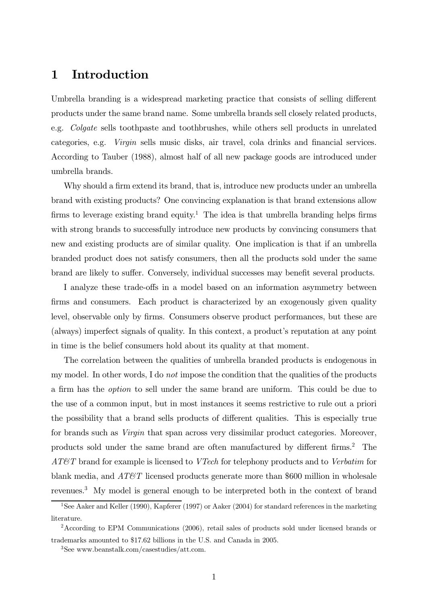# 1 Introduction

Umbrella branding is a widespread marketing practice that consists of selling different products under the same brand name. Some umbrella brands sell closely related products, e.g. Colgate sells toothpaste and toothbrushes, while others sell products in unrelated categories, e.g. Virgin sells music disks, air travel, cola drinks and financial services. According to Tauber (1988), almost half of all new package goods are introduced under umbrella brands.

Why should a firm extend its brand, that is, introduce new products under an umbrella brand with existing products? One convincing explanation is that brand extensions allow firms to leverage existing brand equity.<sup>1</sup> The idea is that umbrella branding helps firms with strong brands to successfully introduce new products by convincing consumers that new and existing products are of similar quality. One implication is that if an umbrella branded product does not satisfy consumers, then all the products sold under the same brand are likely to suffer. Conversely, individual successes may benefit several products.

I analyze these trade-offs in a model based on an information asymmetry between firms and consumers. Each product is characterized by an exogenously given quality level, observable only by firms. Consumers observe product performances, but these are (always) imperfect signals of quality. In this context, a product's reputation at any point in time is the belief consumers hold about its quality at that moment.

The correlation between the qualities of umbrella branded products is endogenous in my model. In other words, I do *not* impose the condition that the qualities of the products a firm has the option to sell under the same brand are uniform. This could be due to the use of a common input, but in most instances it seems restrictive to rule out a priori the possibility that a brand sells products of different qualities. This is especially true for brands such as *Virgin* that span across very dissimilar product categories. Moreover, products sold under the same brand are often manufactured by different firms.2 The AT&T brand for example is licensed to VTech for telephony products and to Verbatim for blank media, and  $AT\&T$  licensed products generate more than \$600 million in wholesale revenues.3 My model is general enough to be interpreted both in the context of brand

<sup>&</sup>lt;sup>1</sup>See Aaker and Keller (1990), Kapferer (1997) or Aaker (2004) for standard references in the marketing literature.

<sup>2</sup>According to EPM Communications (2006), retail sales of products sold under licensed brands or trademarks amounted to \$17.62 billions in the U.S. and Canada in 2005.

<sup>3</sup>See www.beanstalk.com/casestudies/att.com.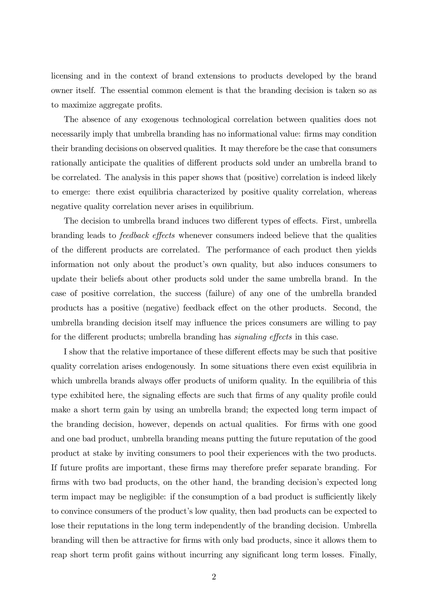licensing and in the context of brand extensions to products developed by the brand owner itself. The essential common element is that the branding decision is taken so as to maximize aggregate profits.

The absence of any exogenous technological correlation between qualities does not necessarily imply that umbrella branding has no informational value: firms may condition their branding decisions on observed qualities. It may therefore be the case that consumers rationally anticipate the qualities of different products sold under an umbrella brand to be correlated. The analysis in this paper shows that (positive) correlation is indeed likely to emerge: there exist equilibria characterized by positive quality correlation, whereas negative quality correlation never arises in equilibrium.

The decision to umbrella brand induces two different types of effects. First, umbrella branding leads to feedback effects whenever consumers indeed believe that the qualities of the different products are correlated. The performance of each product then yields information not only about the product's own quality, but also induces consumers to update their beliefs about other products sold under the same umbrella brand. In the case of positive correlation, the success (failure) of any one of the umbrella branded products has a positive (negative) feedback effect on the other products. Second, the umbrella branding decision itself may influence the prices consumers are willing to pay for the different products; umbrella branding has *signaling effects* in this case.

I show that the relative importance of these different effects may be such that positive quality correlation arises endogenously. In some situations there even exist equilibria in which umbrella brands always offer products of uniform quality. In the equilibria of this type exhibited here, the signaling effects are such that firms of any quality profile could make a short term gain by using an umbrella brand; the expected long term impact of the branding decision, however, depends on actual qualities. For firms with one good and one bad product, umbrella branding means putting the future reputation of the good product at stake by inviting consumers to pool their experiences with the two products. If future profits are important, these firms may therefore prefer separate branding. For firms with two bad products, on the other hand, the branding decision's expected long term impact may be negligible: if the consumption of a bad product is sufficiently likely to convince consumers of the product's low quality, then bad products can be expected to lose their reputations in the long term independently of the branding decision. Umbrella branding will then be attractive for firms with only bad products, since it allows them to reap short term profit gains without incurring any significant long term losses. Finally,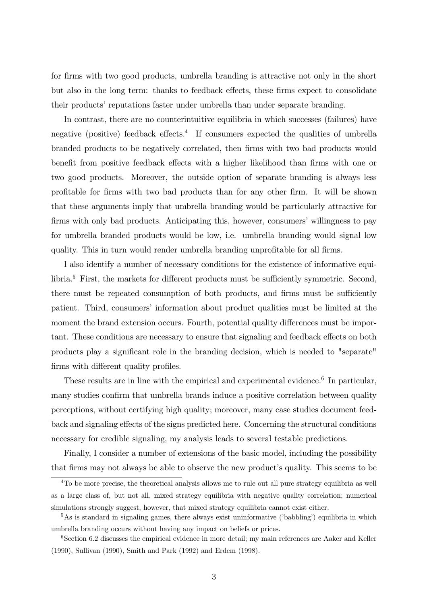for firms with two good products, umbrella branding is attractive not only in the short but also in the long term: thanks to feedback effects, these firms expect to consolidate their products' reputations faster under umbrella than under separate branding.

In contrast, there are no counterintuitive equilibria in which successes (failures) have negative (positive) feedback effects.<sup>4</sup> If consumers expected the qualities of umbrella branded products to be negatively correlated, then firms with two bad products would benefit from positive feedback effects with a higher likelihood than firms with one or two good products. Moreover, the outside option of separate branding is always less profitable for firms with two bad products than for any other firm. It will be shown that these arguments imply that umbrella branding would be particularly attractive for firms with only bad products. Anticipating this, however, consumers' willingness to pay for umbrella branded products would be low, i.e. umbrella branding would signal low quality. This in turn would render umbrella branding unprofitable for all firms.

I also identify a number of necessary conditions for the existence of informative equilibria.<sup>5</sup> First, the markets for different products must be sufficiently symmetric. Second, there must be repeated consumption of both products, and firms must be sufficiently patient. Third, consumers' information about product qualities must be limited at the moment the brand extension occurs. Fourth, potential quality differences must be important. These conditions are necessary to ensure that signaling and feedback effects on both products play a significant role in the branding decision, which is needed to "separate" firms with different quality profiles.

These results are in line with the empirical and experimental evidence.<sup>6</sup> In particular, many studies confirm that umbrella brands induce a positive correlation between quality perceptions, without certifying high quality; moreover, many case studies document feedback and signaling effects of the signs predicted here. Concerning the structural conditions necessary for credible signaling, my analysis leads to several testable predictions.

Finally, I consider a number of extensions of the basic model, including the possibility that firms may not always be able to observe the new product's quality. This seems to be

<sup>&</sup>lt;sup>4</sup>To be more precise, the theoretical analysis allows me to rule out all pure strategy equilibria as well as a large class of, but not all, mixed strategy equilibria with negative quality correlation; numerical simulations strongly suggest, however, that mixed strategy equilibria cannot exist either.

 $5$ As is standard in signaling games, there always exist uninformative ('babbling') equilibria in which umbrella branding occurs without having any impact on beliefs or prices.

 $6$ Section 6.2 discusses the empirical evidence in more detail; my main references are Aaker and Keller (1990), Sullivan (1990), Smith and Park (1992) and Erdem (1998).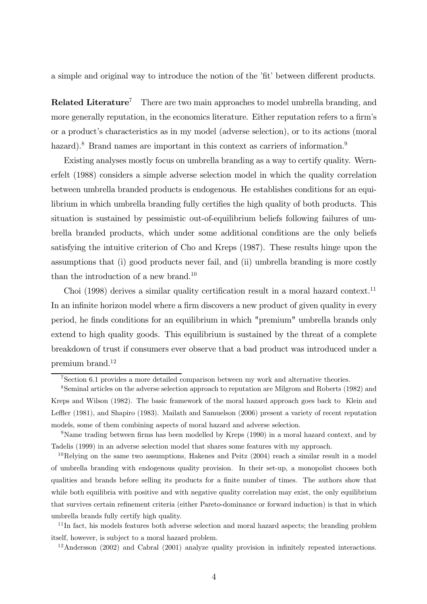a simple and original way to introduce the notion of the 'fit' between different products.

**Related Literature<sup>7</sup>** There are two main approaches to model umbrella branding, and more generally reputation, in the economics literature. Either reputation refers to a firm's or a product's characteristics as in my model (adverse selection), or to its actions (moral hazard).<sup>8</sup> Brand names are important in this context as carriers of information.<sup>9</sup>

Existing analyses mostly focus on umbrella branding as a way to certify quality. Wernerfelt (1988) considers a simple adverse selection model in which the quality correlation between umbrella branded products is endogenous. He establishes conditions for an equilibrium in which umbrella branding fully certifies the high quality of both products. This situation is sustained by pessimistic out-of-equilibrium beliefs following failures of umbrella branded products, which under some additional conditions are the only beliefs satisfying the intuitive criterion of Cho and Kreps (1987). These results hinge upon the assumptions that (i) good products never fail, and (ii) umbrella branding is more costly than the introduction of a new brand.<sup>10</sup>

Choi (1998) derives a similar quality certification result in a moral hazard context.<sup>11</sup> In an infinite horizon model where a firm discovers a new product of given quality in every period, he finds conditions for an equilibrium in which "premium" umbrella brands only extend to high quality goods. This equilibrium is sustained by the threat of a complete breakdown of trust if consumers ever observe that a bad product was introduced under a premium brand.12

<sup>7</sup>Section 6.1 provides a more detailed comparison between my work and alternative theories.

<sup>8</sup>Seminal articles on the adverse selection approach to reputation are Milgrom and Roberts (1982) and Kreps and Wilson (1982). The basic framework of the moral hazard approach goes back to Klein and Leffler (1981), and Shapiro (1983). Mailath and Samuelson (2006) present a variety of recent reputation models, some of them combining aspects of moral hazard and adverse selection.

<sup>9</sup>Name trading between firms has been modelled by Kreps (1990) in a moral hazard context, and by Tadelis (1999) in an adverse selection model that shares some features with my approach.

 $10$ Relying on the same two assumptions, Hakenes and Peitz (2004) reach a similar result in a model of umbrella branding with endogenous quality provision. In their set-up, a monopolist chooses both qualities and brands before selling its products for a finite number of times. The authors show that while both equilibria with positive and with negative quality correlation may exist, the only equilibrium that survives certain refinement criteria (either Pareto-dominance or forward induction) is that in which umbrella brands fully certify high quality.

<sup>&</sup>lt;sup>11</sup>In fact, his models features both adverse selection and moral hazard aspects; the branding problem itself, however, is subject to a moral hazard problem.

 $12$ Andersson (2002) and Cabral (2001) analyze quality provision in infinitely repeated interactions.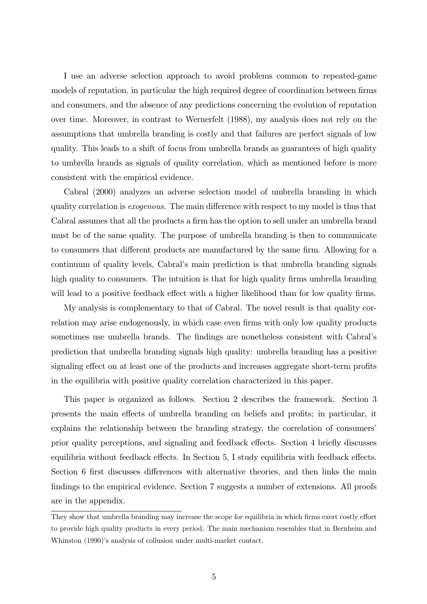I use an adverse selection approach to avoid problems common to repeated-game models of reputation, in particular the high required degree of coordination between firms and consumers, and the absence of any predictions concerning the evolution of reputation over time. Moreover, in contrast to Wernerfelt (1988), my analysis does not rely on the assumptions that umbrella branding is costly and that failures are perfect signals of low quality. This leads to a shift of focus from umbrella brands as guarantees of high quality to umbrella brands as signals of quality correlation, which as mentioned before is more consistent with the empirical evidence.

Cabral (2000) analyzes an adverse selection model of umbrella branding in which quality correlation is exogenous. The main difference with respect to my model is thus that Cabral assumes that all the products a firm has the option to sell under an umbrella brand must be of the same quality. The purpose of umbrella branding is then to communicate to consumers that different products are manufactured by the same firm. Allowing for a continuum of quality levels, Cabral's main prediction is that umbrella branding signals high quality to consumers. The intuition is that for high quality firms umbrella branding will lead to a positive feedback effect with a higher likelihood than for low quality firms.

My analysis is complementary to that of Cabral. The novel result is that quality correlation may arise endogenously, in which case even firms with only low quality products sometimes use umbrella brands. The findings are nonetheless consistent with Cabral's prediction that umbrella branding signals high quality: umbrella branding has a positive signaling effect on at least one of the products and increases aggregate short-term profits in the equilibria with positive quality correlation characterized in this paper.

This paper is organized as follows. Section 2 describes the framework. Section 3 presents the main effects of umbrella branding on beliefs and profits; in particular, it explains the relationship between the branding strategy, the correlation of consumers' prior quality perceptions, and signaling and feedback effects. Section 4 briefly discusses equilibria without feedback effects. In Section 5, I study equilibria with feedback effects. Section 6 first discusses differences with alternative theories, and then links the main findings to the empirical evidence. Section 7 suggests a number of extensions. All proofs are in the appendix.

They show that umbrella branding may increase the scope for equilibria in which firms exert costly effort to provide high quality products in every period. The main mechanism resembles that in Bernheim and Whinston (1990)'s analysis of collusion under multi-market contact.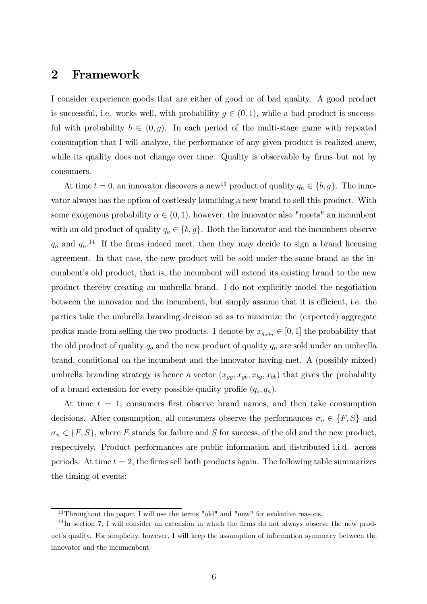### 2 Framework

I consider experience goods that are either of good or of bad quality. A good product is successful, i.e. works well, with probability  $g \in (0,1)$ , while a bad product is successful with probability  $b \in (0, g)$ . In each period of the multi-stage game with repeated consumption that I will analyze, the performance of any given product is realized anew, while its quality does not change over time. Quality is observable by firms but not by consumers.

At time  $t = 0$ , an innovator discovers a new<sup>13</sup> product of quality  $q_n \in \{b, g\}$ . The innovator always has the option of costlessly launching a new brand to sell this product. With some exogenous probability  $\alpha \in (0,1)$ , however, the innovator also "meets" an incumbent with an old product of quality  $q_o \in \{b, g\}$ . Both the innovator and the incumbent observe  $q_o$  and  $q_n$ .<sup>14</sup> If the firms indeed meet, then they may decide to sign a brand licensing agreement. In that case, the new product will be sold under the same brand as the incumbent's old product, that is, the incumbent will extend its existing brand to the new product thereby creating an umbrella brand. I do not explicitly model the negotiation between the innovator and the incumbent, but simply assume that it is efficient, i.e. the parties take the umbrella branding decision so as to maximize the (expected) aggregate profits made from selling the two products. I denote by  $x_{q_o q_n} \in [0, 1]$  the probability that the old product of quality  $q_o$  and the new product of quality  $q_n$  are sold under an umbrella brand, conditional on the incumbent and the innovator having met. A (possibly mixed) umbrella branding strategy is hence a vector  $(x_{gg}, x_{gb}, x_{bg}, x_{bb})$  that gives the probability of a brand extension for every possible quality profile  $(q_o, q_n)$ .

At time  $t = 1$ , consumers first observe brand names, and then take consumption decisions. After consumption, all consumers observe the performances  $\sigma_o \in \{F, S\}$  and  $\sigma_n \in \{F, S\}$ , where F stands for failure and S for success, of the old and the new product, respectively. Product performances are public information and distributed i.i.d. across periods. At time  $t = 2$ , the firms sell both products again. The following table summarizes the timing of events:

<sup>&</sup>lt;sup>13</sup>Throughout the paper, I will use the terms "old" and "new" for evokative reasons.

 $14$ In section 7, I will consider an extension in which the firms do not always observe the new product's quality. For simplicity, however, I will keep the assumption of information symmetry between the innovator and the incumenbent.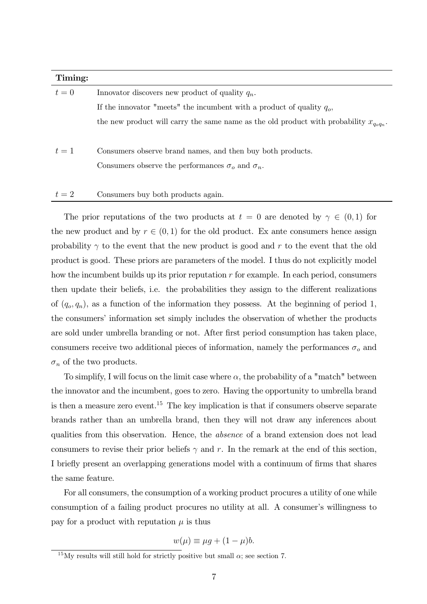| Timing: |                                                                                              |
|---------|----------------------------------------------------------------------------------------------|
| $t=0$   | Innovator discovers new product of quality $q_n$ .                                           |
|         | If the innovator "meets" the incumbent with a product of quality $q_o$ ,                     |
|         | the new product will carry the same name as the old product with probability $x_{q_o q_n}$ . |
|         |                                                                                              |
| $t=1$   | Consumers observe brand names, and then buy both products.                                   |
|         | Consumers observe the performances $\sigma_o$ and $\sigma_n$ .                               |
|         |                                                                                              |
| $t=2$   | Consumers buy both products again.                                                           |

The prior reputations of the two products at  $t = 0$  are denoted by  $\gamma \in (0,1)$  for the new product and by  $r \in (0, 1)$  for the old product. Ex ante consumers hence assign probability  $\gamma$  to the event that the new product is good and r to the event that the old product is good. These priors are parameters of the model. I thus do not explicitly model how the incumbent builds up its prior reputation  $r$  for example. In each period, consumers then update their beliefs, i.e. the probabilities they assign to the different realizations of  $(q_o, q_n)$ , as a function of the information they possess. At the beginning of period 1, the consumers' information set simply includes the observation of whether the products are sold under umbrella branding or not. After first period consumption has taken place, consumers receive two additional pieces of information, namely the performances  $\sigma_o$  and  $\sigma_n$  of the two products.

To simplify, I will focus on the limit case where  $\alpha$ , the probability of a "match" between the innovator and the incumbent, goes to zero. Having the opportunity to umbrella brand is then a measure zero event.<sup>15</sup> The key implication is that if consumers observe separate brands rather than an umbrella brand, then they will not draw any inferences about qualities from this observation. Hence, the absence of a brand extension does not lead consumers to revise their prior beliefs  $\gamma$  and r. In the remark at the end of this section, I briefly present an overlapping generations model with a continuum of firms that shares the same feature.

For all consumers, the consumption of a working product procures a utility of one while consumption of a failing product procures no utility at all. A consumer's willingness to pay for a product with reputation  $\mu$  is thus

$$
w(\mu) \equiv \mu g + (1 - \mu)b.
$$

<sup>&</sup>lt;sup>15</sup>My results will still hold for strictly positive but small  $\alpha$ ; see section 7.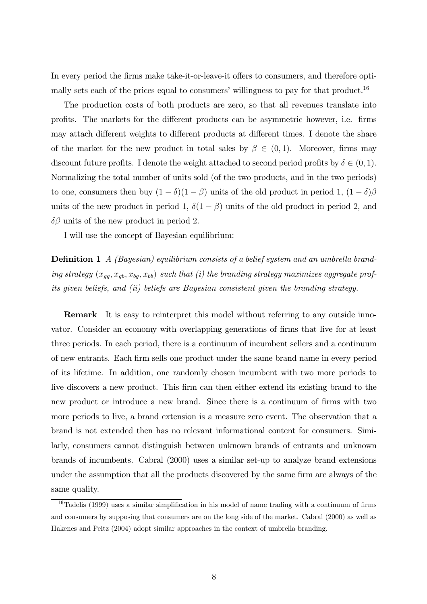In every period the firms make take-it-or-leave-it offers to consumers, and therefore optimally sets each of the prices equal to consumers' willingness to pay for that product.<sup>16</sup>

The production costs of both products are zero, so that all revenues translate into profits. The markets for the different products can be asymmetric however, i.e. firms may attach different weights to different products at different times. I denote the share of the market for the new product in total sales by  $\beta \in (0,1)$ . Moreover, firms may discount future profits. I denote the weight attached to second period profits by  $\delta \in (0,1)$ . Normalizing the total number of units sold (of the two products, and in the two periods) to one, consumers then buy  $(1 - \delta)(1 - \beta)$  units of the old product in period 1,  $(1 - \delta)\beta$ units of the new product in period 1,  $\delta(1-\beta)$  units of the old product in period 2, and  $\delta\beta$  units of the new product in period 2.

I will use the concept of Bayesian equilibrium:

Definition 1 A (Bayesian) equilibrium consists of a belief system and an umbrella branding strategy  $(x_{gg}, x_{gb}, x_{bg}, x_{bb})$  such that (i) the branding strategy maximizes aggregate profits given beliefs, and (ii) beliefs are Bayesian consistent given the branding strategy.

Remark It is easy to reinterpret this model without referring to any outside innovator. Consider an economy with overlapping generations of firms that live for at least three periods. In each period, there is a continuum of incumbent sellers and a continuum of new entrants. Each firm sells one product under the same brand name in every period of its lifetime. In addition, one randomly chosen incumbent with two more periods to live discovers a new product. This firm can then either extend its existing brand to the new product or introduce a new brand. Since there is a continuum of firms with two more periods to live, a brand extension is a measure zero event. The observation that a brand is not extended then has no relevant informational content for consumers. Similarly, consumers cannot distinguish between unknown brands of entrants and unknown brands of incumbents. Cabral (2000) uses a similar set-up to analyze brand extensions under the assumption that all the products discovered by the same firm are always of the same quality.

 $16$ Tadelis (1999) uses a similar simplification in his model of name trading with a continuum of firms and consumers by supposing that consumers are on the long side of the market. Cabral (2000) as well as Hakenes and Peitz (2004) adopt similar approaches in the context of umbrella branding.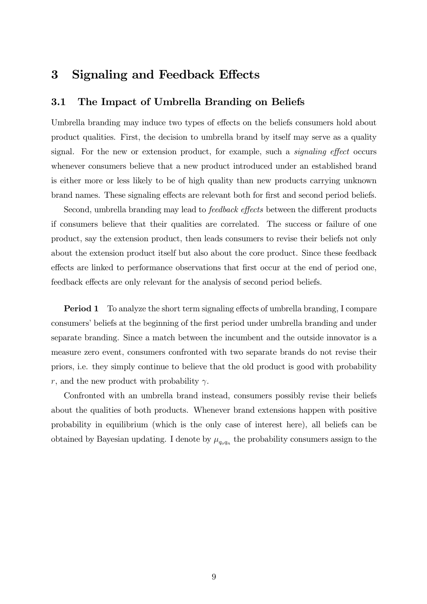### 3 Signaling and Feedback Effects

### 3.1 The Impact of Umbrella Branding on Beliefs

Umbrella branding may induce two types of effects on the beliefs consumers hold about product qualities. First, the decision to umbrella brand by itself may serve as a quality signal. For the new or extension product, for example, such a signaling effect occurs whenever consumers believe that a new product introduced under an established brand is either more or less likely to be of high quality than new products carrying unknown brand names. These signaling effects are relevant both for first and second period beliefs.

Second, umbrella branding may lead to feedback effects between the different products if consumers believe that their qualities are correlated. The success or failure of one product, say the extension product, then leads consumers to revise their beliefs not only about the extension product itself but also about the core product. Since these feedback effects are linked to performance observations that first occur at the end of period one, feedback effects are only relevant for the analysis of second period beliefs.

Period 1 To analyze the short term signaling effects of umbrella branding, I compare consumers' beliefs at the beginning of the first period under umbrella branding and under separate branding. Since a match between the incumbent and the outside innovator is a measure zero event, consumers confronted with two separate brands do not revise their priors, i.e. they simply continue to believe that the old product is good with probability r, and the new product with probability  $\gamma$ .

Confronted with an umbrella brand instead, consumers possibly revise their beliefs about the qualities of both products. Whenever brand extensions happen with positive probability in equilibrium (which is the only case of interest here), all beliefs can be obtained by Bayesian updating. I denote by  $\mu_{q_0q_n}$  the probability consumers assign to the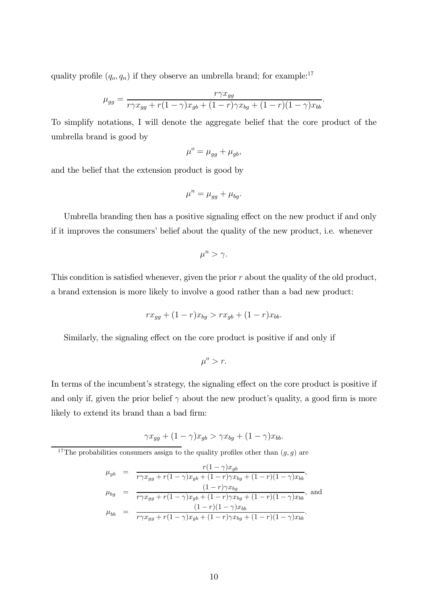quality profile  $(q_o, q_n)$  if they observe an umbrella brand; for example:<sup>17</sup>

$$
\mu_{gg} = \frac{r\gamma x_{gg}}{r\gamma x_{gg} + r(1-\gamma)x_{gb} + (1-r)\gamma x_{bg} + (1-r)(1-\gamma)x_{bb}}
$$

To simplify notations, I will denote the aggregate belief that the core product of the umbrella brand is good by

$$
\mu^o = \mu_{gg} + \mu_{gb},
$$

and the belief that the extension product is good by

$$
\mu^n = \mu_{gg} + \mu_{bg}.
$$

Umbrella branding then has a positive signaling effect on the new product if and only if it improves the consumers' belief about the quality of the new product, i.e. whenever

$$
\mu^n > \gamma.
$$

This condition is satisfied whenever, given the prior  $r$  about the quality of the old product, a brand extension is more likely to involve a good rather than a bad new product:

$$
rx_{gg} + (1 - r)x_{bg} > rx_{gb} + (1 - r)x_{bb}.
$$

Similarly, the signaling effect on the core product is positive if and only if

 $\mu^o > r$ .

In terms of the incumbent's strategy, the signaling effect on the core product is positive if and only if, given the prior belief  $\gamma$  about the new product's quality, a good firm is more likely to extend its brand than a bad firm:

$$
\gamma x_{gg} + (1 - \gamma)x_{gb} > \gamma x_{bg} + (1 - \gamma)x_{bb}.
$$

<sup>17</sup>The probabilities consumers assign to the quality profiles other than  $(g, g)$  are

$$
\mu_{gb} = \frac{r(1-\gamma)x_{gb}}{r\gamma x_{gg} + r(1-\gamma)x_{gb} + (1-r)\gamma x_{bg} + (1-r)(1-\gamma)x_{bb}},
$$
\n
$$
\mu_{bg} = \frac{(1-r)\gamma x_{bg}}{r\gamma x_{gg} + r(1-\gamma)x_{gb} + (1-r)\gamma x_{bg} + (1-r)(1-\gamma)x_{bb}},
$$
\n
$$
\mu_{bb} = \frac{(1-r)(1-\gamma)x_{bb}}{r\gamma x_{gg} + r(1-\gamma)x_{gb} + (1-r)\gamma x_{bg} + (1-r)(1-\gamma)x_{bb}}.
$$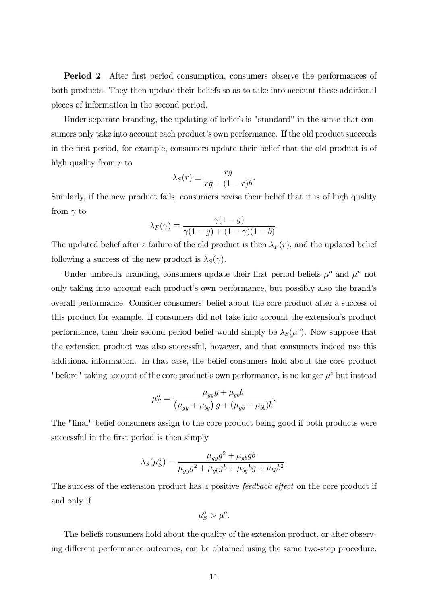Period 2 After first period consumption, consumers observe the performances of both products. They then update their beliefs so as to take into account these additional pieces of information in the second period.

Under separate branding, the updating of beliefs is "standard" in the sense that consumers only take into account each product's own performance. If the old product succeeds in the first period, for example, consumers update their belief that the old product is of high quality from  $r$  to

$$
\lambda_S(r) \equiv \frac{rg}{rg + (1 - r)b}.
$$

Similarly, if the new product fails, consumers revise their belief that it is of high quality from  $\gamma$  to

$$
\lambda_F(\gamma) \equiv \frac{\gamma(1-g)}{\gamma(1-g) + (1-\gamma)(1-b)}.
$$

The updated belief after a failure of the old product is then  $\lambda_F(r)$ , and the updated belief following a success of the new product is  $\lambda_S(\gamma)$ .

Under umbrella branding, consumers update their first period beliefs  $\mu^o$  and  $\mu^n$  not only taking into account each product's own performance, but possibly also the brand's overall performance. Consider consumers' belief about the core product after a success of this product for example. If consumers did not take into account the extension's product performance, then their second period belief would simply be  $\lambda_S(\mu^o)$ . Now suppose that the extension product was also successful, however, and that consumers indeed use this additional information. In that case, the belief consumers hold about the core product "before" taking account of the core product's own performance, is no longer  $\mu^o$  but instead

$$
\mu_S^o = \frac{\mu_{gg}g + \mu_{gb}b}{\left(\mu_{gg} + \mu_{bg}\right)g + (\mu_{gb} + \mu_{bb})b}
$$

.

The "final" belief consumers assign to the core product being good if both products were successful in the first period is then simply

$$
\lambda_S(\mu_S^o) = \frac{\mu_{gg}g^2 + \mu_{gb}gb}{\mu_{gg}g^2 + \mu_{gb}gb + \mu_{bg}bg + \mu_{bb}b^2}.
$$

The success of the extension product has a positive *feedback effect* on the core product if and only if

$$
\mu_S^o > \mu^o.
$$

The beliefs consumers hold about the quality of the extension product, or after observing different performance outcomes, can be obtained using the same two-step procedure.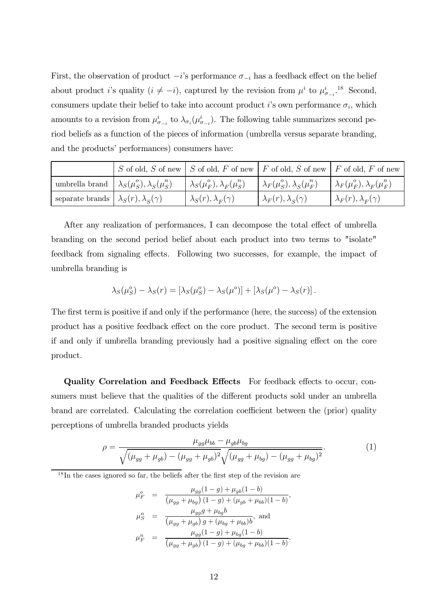First, the observation of product  $-i$ 's performance  $\sigma_{-i}$  has a feedback effect on the belief about product *i*'s quality  $(i \neq -i)$ , captured by the revision from  $\mu^i$  to  $\mu^i_{\sigma_{-i}}$ .<sup>18</sup> Second, consumers update their belief to take into account product i's own performance  $\sigma_i$ , which amounts to a revision from  $\mu_{\sigma_{-i}}^i$  to  $\lambda_{\sigma_i}(\mu_{\sigma_{-i}}^i)$ ). The following table summarizes second period beliefs as a function of the pieces of information (umbrella versus separate branding, and the products' performances) consumers have:

|                                                         | S of old, S of new $\mid S$ of old, F of new $\mid F$ of old, S of new $\mid F$ of old, F of new |                                          |                                                   |
|---------------------------------------------------------|--------------------------------------------------------------------------------------------------|------------------------------------------|---------------------------------------------------|
| umbrella brand $\lambda_S(\mu_S^o), \lambda_S(\mu_S^n)$ | $\lambda_S(\mu_F^o), \lambda_F(\mu_S^n)$                                                         | $\lambda_F(\mu_S^o), \lambda_S(\mu_F^n)$ | $\big \lambda_F(\mu_F^o),\lambda_F(\mu_F^n)\big $ |
| separate brands $\lambda_S(r), \lambda_S(\gamma)$       | $\lambda_S(r), \lambda_F(\gamma)$                                                                | $\lambda_F(r), \lambda_S(\gamma)$        | $\lambda_F(r), \lambda_F(\gamma)$                 |

After any realization of performances, I can decompose the total effect of umbrella branding on the second period belief about each product into two terms to "isolate" feedback from signaling effects. Following two successes, for example, the impact of umbrella branding is

$$
\lambda_S(\mu_S^o) - \lambda_S(r) = [\lambda_S(\mu_S^o) - \lambda_S(\mu^o)] + [\lambda_S(\mu^o) - \lambda_S(r)].
$$

The first term is positive if and only if the performance (here, the success) of the extension product has a positive feedback effect on the core product. The second term is positive if and only if umbrella branding previously had a positive signaling effect on the core product.

Quality Correlation and Feedback Effects For feedback effects to occur, consumers must believe that the qualities of the different products sold under an umbrella brand are correlated. Calculating the correlation coefficient between the (prior) quality perceptions of umbrella branded products yields

$$
\rho = \frac{\mu_{gg}\mu_{bb} - \mu_{gb}\mu_{bg}}{\sqrt{(\mu_{gg} + \mu_{gb}) - (\mu_{gg} + \mu_{gb})^2}\sqrt{(\mu_{gg} + \mu_{bg}) - (\mu_{gg} + \mu_{bg})^2}}.
$$
(1)

 $18$ In the cases ignored so far, the beliefs after the first step of the revision are

$$
\mu_F^o = \frac{\mu_{gg}(1-g) + \mu_{gb}(1-b)}{(\mu_{gg} + \mu_{bg})(1-g) + (\mu_{gb} + \mu_{bb})(1-b)},
$$
  
\n
$$
\mu_S^n = \frac{\mu_{gg}g + \mu_{bg}b}{(\mu_{gg} + \mu_{gb})g + (\mu_{bg} + \mu_{bb})b}, \text{ and}
$$
  
\n
$$
\mu_F^n = \frac{\mu_{gg}(1-g) + \mu_{bg}(1-b)}{(\mu_{gg} + \mu_{gb})(1-g) + (\mu_{bg} + \mu_{bb})(1-b)}.
$$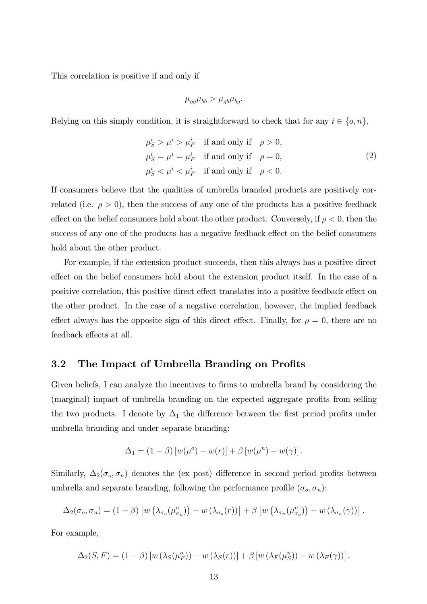This correlation is positive if and only if

$$
\mu_{gg}\mu_{bb} > \mu_{gb}\mu_{bg}.
$$

Relying on this simply condition, it is straightforward to check that for any  $i \in \{o, n\}$ ,

$$
\mu_S^i > \mu^i > \mu_F^i \quad \text{if and only if} \quad \rho > 0,
$$
  

$$
\mu_S^i = \mu^i = \mu_F^i \quad \text{if and only if} \quad \rho = 0,
$$
  

$$
\mu_S^i < \mu^i < \mu_F^i \quad \text{if and only if} \quad \rho < 0.
$$
  

$$
(2)
$$

If consumers believe that the qualities of umbrella branded products are positively correlated (i.e.  $\rho > 0$ ), then the success of any one of the products has a positive feedback effect on the belief consumers hold about the other product. Conversely, if  $\rho < 0$ , then the success of any one of the products has a negative feedback effect on the belief consumers hold about the other product.

For example, if the extension product succeeds, then this always has a positive direct effect on the belief consumers hold about the extension product itself. In the case of a positive correlation, this positive direct effect translates into a positive feedback effect on the other product. In the case of a negative correlation, however, the implied feedback effect always has the opposite sign of this direct effect. Finally, for  $\rho = 0$ , there are no feedback effects at all.

### 3.2 The Impact of Umbrella Branding on Profits

Given beliefs, I can analyze the incentives to firms to umbrella brand by considering the (marginal) impact of umbrella branding on the expected aggregate profits from selling the two products. I denote by  $\Delta_1$  the difference between the first period profits under umbrella branding and under separate branding:

$$
\Delta_1 = (1 - \beta) [w(\mu^o) - w(r)] + \beta [w(\mu^n) - w(\gamma)].
$$

Similarly,  $\Delta_2(\sigma_o, \sigma_n)$  denotes the (ex post) difference in second period profits between umbrella and separate branding, following the performance profile  $(\sigma_o, \sigma_n)$ :

$$
\Delta_2(\sigma_o, \sigma_n) = (1 - \beta) \left[ w \left( \lambda_{\sigma_o}(\mu_{\sigma_n}^o) \right) - w \left( \lambda_{\sigma_o}(r) \right) \right] + \beta \left[ w \left( \lambda_{\sigma_n}(\mu_{\sigma_o}^n) \right) - w \left( \lambda_{\sigma_n}(\gamma) \right) \right].
$$

For example,

$$
\Delta_2(S, F) = (1 - \beta) [w (\lambda_S(\mu_F^o)) - w (\lambda_S(r))] + \beta [w (\lambda_F(\mu_S^o)) - w (\lambda_F(\gamma))].
$$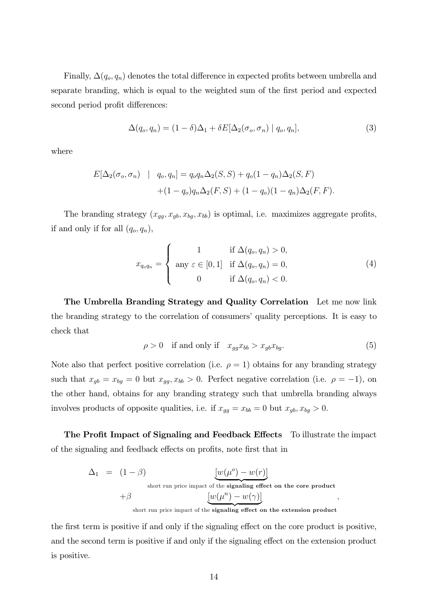Finally,  $\Delta(q_o, q_n)$  denotes the total difference in expected profits between umbrella and separate branding, which is equal to the weighted sum of the first period and expected second period profit differences:

$$
\Delta(q_o, q_n) = (1 - \delta)\Delta_1 + \delta E[\Delta_2(\sigma_o, \sigma_n) | q_o, q_n], \qquad (3)
$$

where

$$
E[\Delta_2(\sigma_o, \sigma_n) \mid q_o, q_n] = q_o q_n \Delta_2(S, S) + q_o (1 - q_n) \Delta_2(S, F)
$$
  
 
$$
+ (1 - q_o) q_n \Delta_2(F, S) + (1 - q_o) (1 - q_n) \Delta_2(F, F).
$$

The branding strategy  $(x_{gg}, x_{gb}, x_{bg}, x_{bb})$  is optimal, i.e. maximizes aggregate profits, if and only if for all  $(q_o, q_n)$ ,

$$
x_{q_o q_n} = \begin{cases} 1 & \text{if } \Delta(q_o, q_n) > 0, \\ \text{any } \varepsilon \in [0, 1] & \text{if } \Delta(q_o, q_n) = 0, \\ 0 & \text{if } \Delta(q_o, q_n) < 0. \end{cases}
$$
(4)

The Umbrella Branding Strategy and Quality Correlation Let me now link the branding strategy to the correlation of consumers' quality perceptions. It is easy to check that

$$
\rho > 0 \quad \text{if and only if} \quad x_{gg}x_{bb} > x_{gb}x_{bg}.\tag{5}
$$

Note also that perfect positive correlation (i.e.  $\rho = 1$ ) obtains for any branding strategy such that  $x_{gb} = x_{bg} = 0$  but  $x_{gg}, x_{bb} > 0$ . Perfect negative correlation (i.e.  $\rho = -1$ ), on the other hand, obtains for any branding strategy such that umbrella branding always involves products of opposite qualities, i.e. if  $x_{gg} = x_{bb} = 0$  but  $x_{gb}, x_{bg} > 0$ .

The Profit Impact of Signaling and Feedback Effects To illustrate the impact of the signaling and feedback effects on profits, note first that in

$$
\Delta_1 = (1 - \beta) \qquad \qquad \underbrace{[w(\mu^o) - w(r)]}_{\text{short run price impact of the signaling effect on the core product}} + \beta \underbrace{[w(\mu^n) - w(\gamma)]}_{\text{short run price impact of the signaling effect on the extension product}},
$$

the first term is positive if and only if the signaling effect on the core product is positive, and the second term is positive if and only if the signaling effect on the extension product is positive.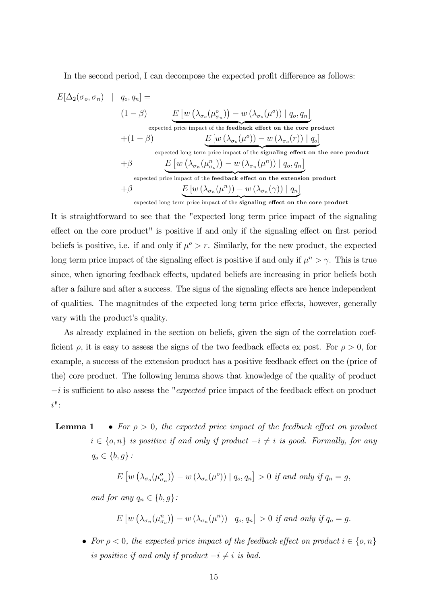In the second period, I can decompose the expected profit difference as follows:

$$
E[\Delta_2(\sigma_o, \sigma_n) \mid q_o, q_n] =
$$
\n
$$
(1 - \beta) \qquad E\left[w\left(\lambda_{\sigma_o}(\mu_{\sigma_n}^o)\right) - w\left(\lambda_{\sigma_o}(\mu^o)\right) \mid q_o, q_n\right]
$$
\n
$$
+ (1 - \beta) \qquad E\left[w\left(\lambda_{\sigma_o}(\mu^o)\right) - w\left(\lambda_{\sigma_o}(\mu^o)\right) \mid q_o\right]
$$
\n
$$
+ \beta \qquad E\left[w\left(\lambda_{\sigma_o}(\mu^o)\right) - w\left(\lambda_{\sigma_o}(r)\right) \mid q_o\right]
$$
\n
$$
+ \beta \qquad E\left[w\left(\lambda_{\sigma_n}(\mu_{\sigma_o}^n)\right) - w\left(\lambda_{\sigma_n}(\mu^n)\right) \mid q_o, q_n\right]
$$
\n
$$
+ \beta \qquad E\left[w\left(\lambda_{\sigma_n}(\mu_{\sigma_o}^n)\right) - w\left(\lambda_{\sigma_n}(\mu^n)\right) \mid q_o, q_n\right]
$$
\n
$$
+ \beta \qquad E\left[w\left(\lambda_{\sigma_n}(\mu^n)\right) - w\left(\lambda_{\sigma_n}(\gamma)\right) \mid q_n\right]
$$
\n
$$
+ \beta \qquad E\left[w\left(\lambda_{\sigma_n}(\mu^n)\right) - w\left(\lambda_{\sigma_n}(\gamma)\right) \mid q_n\right]
$$
\n
$$
+ \beta \qquad E\left[w\left(\lambda_{\sigma_n}(\mu^n)\right) - w\left(\lambda_{\sigma_n}(\gamma)\right) \mid q_n\right]
$$
\n
$$
+ \beta \qquad E\left[w\left(\lambda_{\sigma_n}(\mu^n)\right) - w\left(\lambda_{\sigma_n}(\gamma)\right) \mid q_n\right]
$$
\n
$$
+ \beta \qquad E\left[w\left(\lambda_{\sigma_n}(\mu^n)\right) - w\left(\lambda_{\sigma_n}(\gamma)\right) \mid q_n\right]
$$
\n
$$
+ \beta \qquad E\left[w\left(\lambda_{\sigma_n}(\mu^n)\right) - w\left(\lambda_{\sigma_n}(\gamma)\right) \mid q_n\right]
$$
\n
$$
+ \beta \qquad E\left[w\left(\lambda_{\sigma_n}(\mu^n)\right) - w\left(\lambda_{\sigma_n}(\gamma)\right) \mid q_n\right]
$$
\n
$$
+ \beta
$$

It is straightforward to see that the "expected long term price impact of the signaling effect on the core product" is positive if and only if the signaling effect on first period beliefs is positive, i.e. if and only if  $\mu^o > r$ . Similarly, for the new product, the expected long term price impact of the signaling effect is positive if and only if  $\mu^n > \gamma$ . This is true since, when ignoring feedback effects, updated beliefs are increasing in prior beliefs both after a failure and after a success. The signs of the signaling effects are hence independent of qualities. The magnitudes of the expected long term price effects, however, generally vary with the product's quality.

As already explained in the section on beliefs, given the sign of the correlation coefficient  $\rho$ , it is easy to assess the signs of the two feedback effects ex post. For  $\rho > 0$ , for example, a success of the extension product has a positive feedback effect on the (price of the) core product. The following lemma shows that knowledge of the quality of product  $-i$  is sufficient to also assess the "*expected* price impact of the feedback effect on product i":

**Lemma 1** • For  $\rho > 0$ , the expected price impact of the feedback effect on product  $i \in \{o, n\}$  is positive if and only if product  $-i \neq i$  is good. Formally, for any  $q_o \in \{b, g\}$ :

$$
E\left[w\left(\lambda_{\sigma_o}(\mu_{\sigma_n}^o)\right) - w\left(\lambda_{\sigma_o}(\mu^o)\right) \mid q_o, q_n\right] > 0 \text{ if and only if } q_n = g,
$$

and for any  $q_n \in \{b, g\}$ :

$$
E\left[w\left(\lambda_{\sigma_n}(\mu_{\sigma_o}^n)\right)-w\left(\lambda_{\sigma_n}(\mu^n)\right)\mid q_o,q_n\right]>0 \text{ if and only if } q_o=g.
$$

• For  $\rho < 0$ , the expected price impact of the feedback effect on product  $i \in \{o, n\}$ is positive if and only if product  $-i \neq i$  is bad.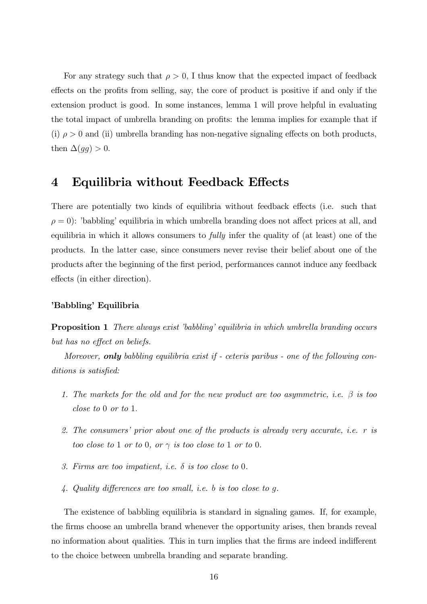For any strategy such that  $\rho > 0$ , I thus know that the expected impact of feedback effects on the profits from selling, say, the core of product is positive if and only if the extension product is good. In some instances, lemma 1 will prove helpful in evaluating the total impact of umbrella branding on profits: the lemma implies for example that if (i)  $\rho > 0$  and (ii) umbrella branding has non-negative signaling effects on both products, then  $\Delta(gg) > 0$ .

# 4 Equilibria without Feedback Effects

There are potentially two kinds of equilibria without feedback effects (i.e. such that  $\rho = 0$ : 'babbling' equilibria in which umbrella branding does not affect prices at all, and equilibria in which it allows consumers to fully infer the quality of (at least) one of the products. In the latter case, since consumers never revise their belief about one of the products after the beginning of the first period, performances cannot induce any feedback effects (in either direction).

#### 'Babbling' Equilibria

**Proposition 1** There always exist 'babbling' equilibria in which umbrella branding occurs but has no effect on beliefs.

Moreover, **only** babbling equilibria exist if - ceteris paribus - one of the following conditions is satisfied:

- 1. The markets for the old and for the new product are too asymmetric, i.e.  $\beta$  is too close to <sup>0</sup> or to <sup>1</sup>.
- 2. The consumers' prior about one of the products is already very accurate, i.e. r is too close to 1 or to 0, or  $\gamma$  is too close to 1 or to 0.
- 3. Firms are too impatient, i.e.  $\delta$  is too close to 0.
- 4. Quality differences are too small, i.e. b is too close to g.

The existence of babbling equilibria is standard in signaling games. If, for example, the firms choose an umbrella brand whenever the opportunity arises, then brands reveal no information about qualities. This in turn implies that the firms are indeed indifferent to the choice between umbrella branding and separate branding.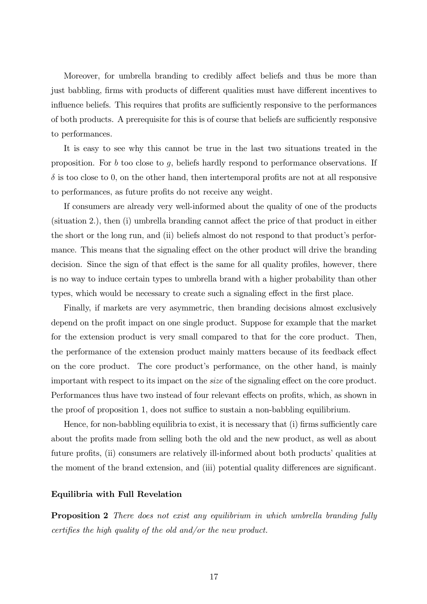Moreover, for umbrella branding to credibly affect beliefs and thus be more than just babbling, firms with products of different qualities must have different incentives to influence beliefs. This requires that profits are sufficiently responsive to the performances of both products. A prerequisite for this is of course that beliefs are sufficiently responsive to performances.

It is easy to see why this cannot be true in the last two situations treated in the proposition. For b too close to g, beliefs hardly respond to performance observations. If  $\delta$  is too close to 0, on the other hand, then intertemporal profits are not at all responsive to performances, as future profits do not receive any weight.

If consumers are already very well-informed about the quality of one of the products (situation 2.), then (i) umbrella branding cannot affect the price of that product in either the short or the long run, and (ii) beliefs almost do not respond to that product's performance. This means that the signaling effect on the other product will drive the branding decision. Since the sign of that effect is the same for all quality profiles, however, there is no way to induce certain types to umbrella brand with a higher probability than other types, which would be necessary to create such a signaling effect in the first place.

Finally, if markets are very asymmetric, then branding decisions almost exclusively depend on the profit impact on one single product. Suppose for example that the market for the extension product is very small compared to that for the core product. Then, the performance of the extension product mainly matters because of its feedback effect on the core product. The core product's performance, on the other hand, is mainly important with respect to its impact on the size of the signaling effect on the core product. Performances thus have two instead of four relevant effects on profits, which, as shown in the proof of proposition 1, does not suffice to sustain a non-babbling equilibrium.

Hence, for non-babbling equilibria to exist, it is necessary that (i) firms sufficiently care about the profits made from selling both the old and the new product, as well as about future profits, (ii) consumers are relatively ill-informed about both products' qualities at the moment of the brand extension, and (iii) potential quality differences are significant.

#### Equilibria with Full Revelation

**Proposition 2** There does not exist any equilibrium in which umbrella branding fully certifies the high quality of the old and/or the new product.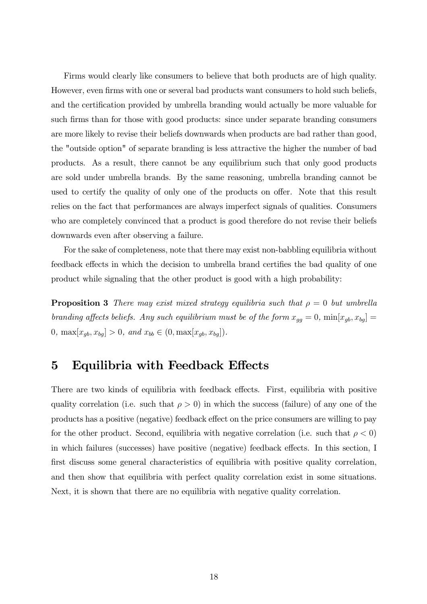Firms would clearly like consumers to believe that both products are of high quality. However, even firms with one or several bad products want consumers to hold such beliefs, and the certification provided by umbrella branding would actually be more valuable for such firms than for those with good products: since under separate branding consumers are more likely to revise their beliefs downwards when products are bad rather than good, the "outside option" of separate branding is less attractive the higher the number of bad products. As a result, there cannot be any equilibrium such that only good products are sold under umbrella brands. By the same reasoning, umbrella branding cannot be used to certify the quality of only one of the products on offer. Note that this result relies on the fact that performances are always imperfect signals of qualities. Consumers who are completely convinced that a product is good therefore do not revise their beliefs downwards even after observing a failure.

For the sake of completeness, note that there may exist non-babbling equilibria without feedback effects in which the decision to umbrella brand certifies the bad quality of one product while signaling that the other product is good with a high probability:

**Proposition 3** There may exist mixed strategy equilibria such that  $\rho = 0$  but umbrella branding affects beliefs. Any such equilibrium must be of the form  $x_{gg} = 0$ ,  $\min[x_{gb}, x_{bg}] =$ 0,  $\max[x_{gb}, x_{bg}] > 0$ , and  $x_{bb} \in (0, \max[x_{gb}, x_{bg}])$ .

### 5 Equilibria with Feedback Effects

There are two kinds of equilibria with feedback effects. First, equilibria with positive quality correlation (i.e. such that  $\rho > 0$ ) in which the success (failure) of any one of the products has a positive (negative) feedback effect on the price consumers are willing to pay for the other product. Second, equilibria with negative correlation (i.e. such that  $\rho < 0$ ) in which failures (successes) have positive (negative) feedback effects. In this section, I first discuss some general characteristics of equilibria with positive quality correlation, and then show that equilibria with perfect quality correlation exist in some situations. Next, it is shown that there are no equilibria with negative quality correlation.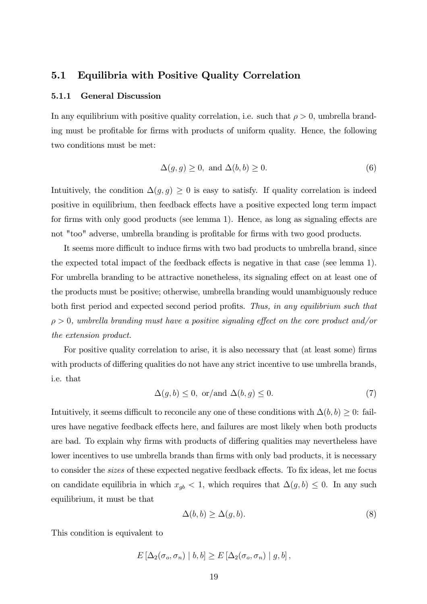### 5.1 Equilibria with Positive Quality Correlation

#### 5.1.1 General Discussion

In any equilibrium with positive quality correlation, i.e. such that  $\rho > 0$ , umbrella branding must be profitable for firms with products of uniform quality. Hence, the following two conditions must be met:

$$
\Delta(g, g) \ge 0, \text{ and } \Delta(b, b) \ge 0. \tag{6}
$$

Intuitively, the condition  $\Delta(g, g) \geq 0$  is easy to satisfy. If quality correlation is indeed positive in equilibrium, then feedback effects have a positive expected long term impact for firms with only good products (see lemma 1). Hence, as long as signaling effects are not "too" adverse, umbrella branding is profitable for firms with two good products.

It seems more difficult to induce firms with two bad products to umbrella brand, since the expected total impact of the feedback effects is negative in that case (see lemma 1). For umbrella branding to be attractive nonetheless, its signaling effect on at least one of the products must be positive; otherwise, umbrella branding would unambiguously reduce both first period and expected second period profits. Thus, in any equilibrium such that  $\rho > 0$ , umbrella branding must have a positive signaling effect on the core product and/or the extension product.

For positive quality correlation to arise, it is also necessary that (at least some) firms with products of differing qualities do not have any strict incentive to use umbrella brands, i.e. that

$$
\Delta(g, b) \le 0, \text{ or/and } \Delta(b, g) \le 0. \tag{7}
$$

Intuitively, it seems difficult to reconcile any one of these conditions with  $\Delta(b, b) \geq 0$ : failures have negative feedback effects here, and failures are most likely when both products are bad. To explain why firms with products of differing qualities may nevertheless have lower incentives to use umbrella brands than firms with only bad products, it is necessary to consider the sizes of these expected negative feedback effects. To fix ideas, let me focus on candidate equilibria in which  $x_{gb} < 1$ , which requires that  $\Delta(g, b) \leq 0$ . In any such equilibrium, it must be that

$$
\Delta(b, b) \ge \Delta(g, b). \tag{8}
$$

This condition is equivalent to

$$
E\left[\Delta_2(\sigma_o, \sigma_n) \mid b, b\right] \ge E\left[\Delta_2(\sigma_o, \sigma_n) \mid g, b\right],
$$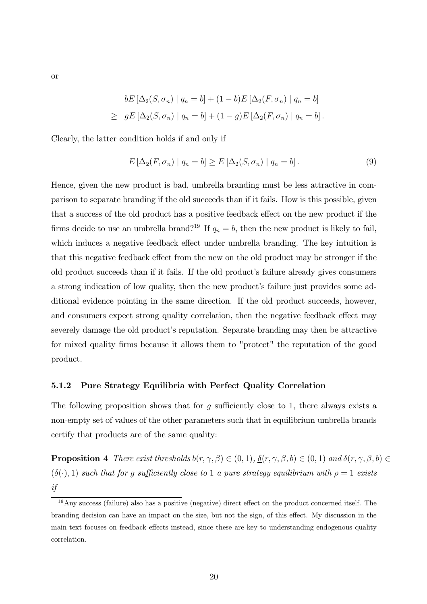or

$$
bE\left[\Delta_2(S,\sigma_n) \mid q_n = b\right] + (1-b)E\left[\Delta_2(F,\sigma_n) \mid q_n = b\right]
$$
  
\n
$$
\geq gE\left[\Delta_2(S,\sigma_n) \mid q_n = b\right] + (1-g)E\left[\Delta_2(F,\sigma_n) \mid q_n = b\right].
$$

Clearly, the latter condition holds if and only if

$$
E\left[\Delta_2(F,\sigma_n)\mid q_n = b\right] \ge E\left[\Delta_2(S,\sigma_n)\mid q_n = b\right].\tag{9}
$$

Hence, given the new product is bad, umbrella branding must be less attractive in comparison to separate branding if the old succeeds than if it fails. How is this possible, given that a success of the old product has a positive feedback effect on the new product if the firms decide to use an umbrella brand?<sup>19</sup> If  $q_n = b$ , then the new product is likely to fail, which induces a negative feedback effect under umbrella branding. The key intuition is that this negative feedback effect from the new on the old product may be stronger if the old product succeeds than if it fails. If the old product's failure already gives consumers a strong indication of low quality, then the new product's failure just provides some additional evidence pointing in the same direction. If the old product succeeds, however, and consumers expect strong quality correlation, then the negative feedback effect may severely damage the old product's reputation. Separate branding may then be attractive for mixed quality firms because it allows them to "protect" the reputation of the good product.

#### 5.1.2 Pure Strategy Equilibria with Perfect Quality Correlation

The following proposition shows that for q sufficiently close to 1, there always exists a non-empty set of values of the other parameters such that in equilibrium umbrella brands certify that products are of the same quality:

**Proposition 4** There exist thresholds  $\overline{b}(r, \gamma, \beta) \in (0, 1)$ ,  $\underline{\delta}(r, \gamma, \beta, b) \in (0, 1)$  and  $\overline{\delta}(r, \gamma, \beta, b) \in$  $(\underline{\delta}(\cdot), 1)$  such that for g sufficiently close to 1 a pure strategy equilibrium with  $\rho = 1$  exists if

 $19$ Any success (failure) also has a positive (negative) direct effect on the product concerned itself. The branding decision can have an impact on the size, but not the sign, of this effect. My discussion in the main text focuses on feedback effects instead, since these are key to understanding endogenous quality correlation.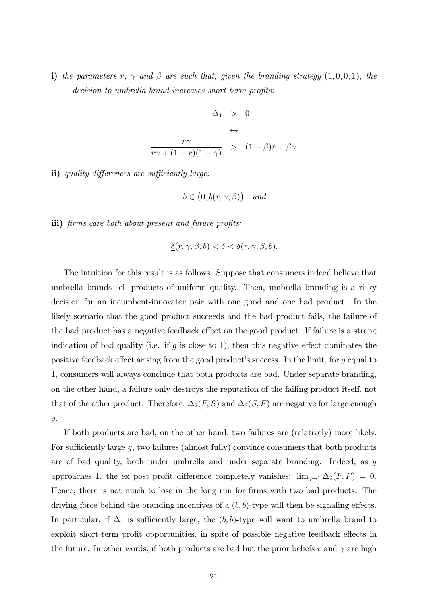i) the parameters r,  $\gamma$  and  $\beta$  are such that, given the branding strategy  $(1, 0, 0, 1)$ , the decision to umbrella brand increases short term profits:

$$
\Delta_1 > 0
$$
  
\n
$$
\leftrightarrow
$$
  
\n
$$
\frac{r\gamma}{r\gamma + (1 - r)(1 - \gamma)} > (1 - \beta)r + \beta\gamma.
$$

ii) quality differences are sufficiently large:

$$
b \in (0, \overline{b}(r, \gamma, \beta)), \text{ and}
$$

iii) firms care both about present and future profits:

$$
\underline{\delta}(r,\gamma,\beta,b) < \delta < \overline{\delta}(r,\gamma,\beta,b).
$$

The intuition for this result is as follows. Suppose that consumers indeed believe that umbrella brands sell products of uniform quality. Then, umbrella branding is a risky decision for an incumbent-innovator pair with one good and one bad product. In the likely scenario that the good product succeeds and the bad product fails, the failure of the bad product has a negative feedback effect on the good product. If failure is a strong indication of bad quality (i.e. if g is close to 1), then this negative effect dominates the positive feedback effect arising from the good product's success. In the limit, for g equal to 1, consumers will always conclude that both products are bad. Under separate branding, on the other hand, a failure only destroys the reputation of the failing product itself, not that of the other product. Therefore,  $\Delta_2(F, S)$  and  $\Delta_2(S, F)$  are negative for large enough g.

If both products are bad, on the other hand, two failures are (relatively) more likely. For sufficiently large  $q$ , two failures (almost fully) convince consumers that both products are of bad quality, both under umbrella and under separate branding. Indeed, as g approaches 1, the ex post profit difference completely vanishes:  $\lim_{g\to 1} \Delta_2(F, F) = 0$ . Hence, there is not much to lose in the long run for firms with two bad products. The driving force behind the branding incentives of a  $(b, b)$ -type will then be signaling effects. In particular, if  $\Delta_1$  is sufficiently large, the  $(b, b)$ -type will want to umbrella brand to exploit short-term profit opportunities, in spite of possible negative feedback effects in the future. In other words, if both products are bad but the prior beliefs r and  $\gamma$  are high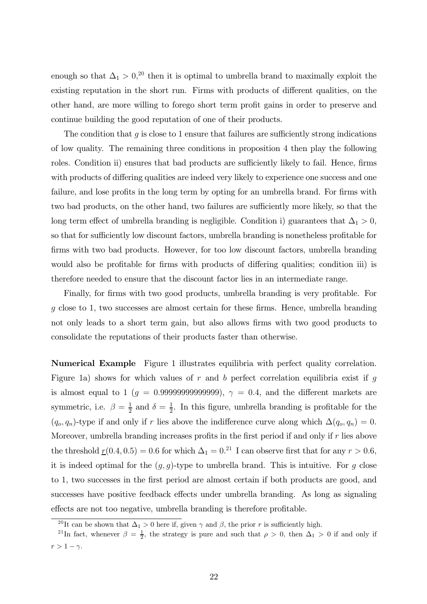enough so that  $\Delta_1 > 0$ <sup>20</sup>, then it is optimal to umbrella brand to maximally exploit the existing reputation in the short run. Firms with products of different qualities, on the other hand, are more willing to forego short term profit gains in order to preserve and continue building the good reputation of one of their products.

The condition that  $q$  is close to 1 ensure that failures are sufficiently strong indications of low quality. The remaining three conditions in proposition 4 then play the following roles. Condition ii) ensures that bad products are sufficiently likely to fail. Hence, firms with products of differing qualities are indeed very likely to experience one success and one failure, and lose profits in the long term by opting for an umbrella brand. For firms with two bad products, on the other hand, two failures are sufficiently more likely, so that the long term effect of umbrella branding is negligible. Condition i) guarantees that  $\Delta_1 > 0$ , so that for sufficiently low discount factors, umbrella branding is nonetheless profitable for firms with two bad products. However, for too low discount factors, umbrella branding would also be profitable for firms with products of differing qualities; condition iii) is therefore needed to ensure that the discount factor lies in an intermediate range.

Finally, for firms with two good products, umbrella branding is very profitable. For g close to <sup>1</sup>, two successes are almost certain for these firms. Hence, umbrella branding not only leads to a short term gain, but also allows firms with two good products to consolidate the reputations of their products faster than otherwise.

Numerical Example Figure 1 illustrates equilibria with perfect quality correlation. Figure 1a) shows for which values of r and b perfect correlation equilibria exist if g is almost equal to 1 ( $g = 0.99999999999999)$ ,  $\gamma = 0.4$ , and the different markets are symmetric, i.e.  $\beta = \frac{1}{2}$  and  $\delta = \frac{1}{2}$ . In this figure, umbrella branding is profitable for the  $(q_o, q_n)$ -type if and only if r lies above the indifference curve along which  $\Delta(q_o, q_n)=0$ . Moreover, umbrella branding increases profits in the first period if and only if  $r$  lies above the threshold  $\underline{r}(0.4, 0.5) = 0.6$  for which  $\Delta_1 = 0.21$  I can observe first that for any  $r > 0.6$ , it is indeed optimal for the  $(g, g)$ -type to umbrella brand. This is intuitive. For g close to 1, two successes in the first period are almost certain if both products are good, and successes have positive feedback effects under umbrella branding. As long as signaling effects are not too negative, umbrella branding is therefore profitable.

<sup>&</sup>lt;sup>20</sup>It can be shown that  $\Delta_1 > 0$  here if, given  $\gamma$  and  $\beta$ , the prior r is sufficiently high.

<sup>&</sup>lt;sup>21</sup>In fact, whenever  $\beta = \frac{1}{2}$ , the strategy is pure and such that  $\rho > 0$ , then  $\Delta_1 > 0$  if and only if  $r > 1 - \gamma$ .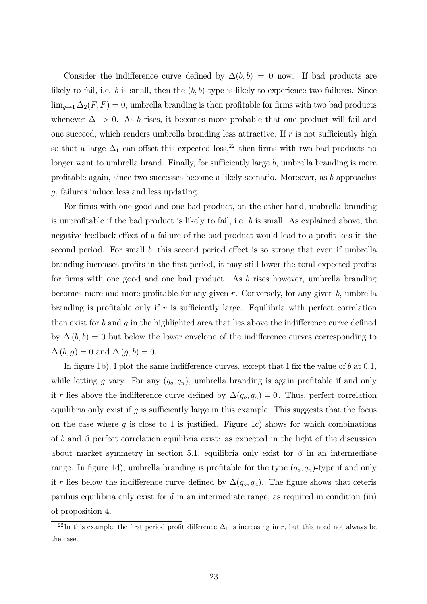Consider the indifference curve defined by  $\Delta(b, b) = 0$  now. If bad products are likely to fail, i.e. b is small, then the  $(b, b)$ -type is likely to experience two failures. Since  $\lim_{g\to 1} \Delta_2(F, F)=0$ , umbrella branding is then profitable for firms with two bad products whenever  $\Delta_1 > 0$ . As b rises, it becomes more probable that one product will fail and one succeed, which renders umbrella branding less attractive. If  $r$  is not sufficiently high so that a large  $\Delta_1$  can offset this expected loss,<sup>22</sup> then firms with two bad products no longer want to umbrella brand. Finally, for sufficiently large b, umbrella branding is more profitable again, since two successes become a likely scenario. Moreover, as b approaches g, failures induce less and less updating.

For firms with one good and one bad product, on the other hand, umbrella branding is unprofitable if the bad product is likely to fail, i.e. b is small. As explained above, the negative feedback effect of a failure of the bad product would lead to a profit loss in the second period. For small b, this second period effect is so strong that even if umbrella branding increases profits in the first period, it may still lower the total expected profits for firms with one good and one bad product. As b rises however, umbrella branding becomes more and more profitable for any given  $r$ . Conversely, for any given  $b$ , umbrella branding is profitable only if  $r$  is sufficiently large. Equilibria with perfect correlation then exist for b and q in the highlighted area that lies above the indifference curve defined by  $\Delta(b, b)=0$  but below the lower envelope of the indifference curves corresponding to  $\Delta(b, g)=0$  and  $\Delta(g, b)=0$ .

In figure 1b), I plot the same indifference curves, except that I fix the value of  $b$  at 0.1, while letting g vary. For any  $(q_o, q_n)$ , umbrella branding is again profitable if and only if r lies above the indifference curve defined by  $\Delta(q_o, q_n)=0$ . Thus, perfect correlation equilibria only exist if g is sufficiently large in this example. This suggests that the focus on the case where  $g$  is close to 1 is justified. Figure 1c) shows for which combinations of b and  $\beta$  perfect correlation equilibria exist: as expected in the light of the discussion about market symmetry in section 5.1, equilibria only exist for  $\beta$  in an intermediate range. In figure 1d), umbrella branding is profitable for the type  $(q_o, q_n)$ -type if and only if r lies below the indifference curve defined by  $\Delta(q_o, q_n)$ . The figure shows that ceteris paribus equilibria only exist for  $\delta$  in an intermediate range, as required in condition (iii) of proposition 4.

<sup>&</sup>lt;sup>22</sup>In this example, the first period profit difference  $\Delta_1$  is increasing in r, but this need not always be the case.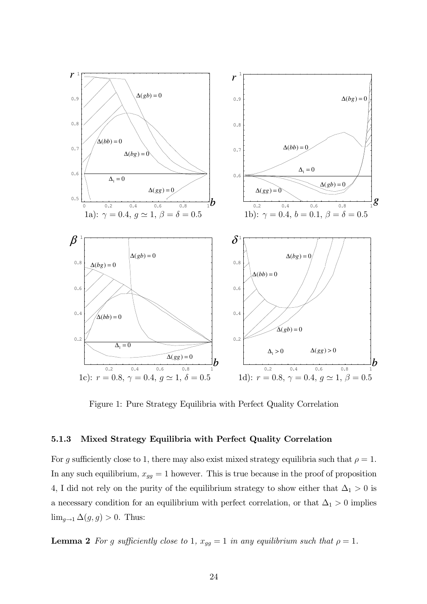

Figure 1: Pure Strategy Equilibria with Perfect Quality Correlation

#### 5.1.3 Mixed Strategy Equilibria with Perfect Quality Correlation

For g sufficiently close to 1, there may also exist mixed strategy equilibria such that  $\rho = 1$ . In any such equilibrium,  $x_{gg} = 1$  however. This is true because in the proof of proposition 4, I did not rely on the purity of the equilibrium strategy to show either that  $\Delta_1 > 0$  is a necessary condition for an equilibrium with perfect correlation, or that  $\Delta_1 > 0$  implies  $\lim_{g\to 1} \Delta(g, g) > 0$ . Thus:

**Lemma 2** For g sufficiently close to 1,  $x_{gg} = 1$  in any equilibrium such that  $\rho = 1$ .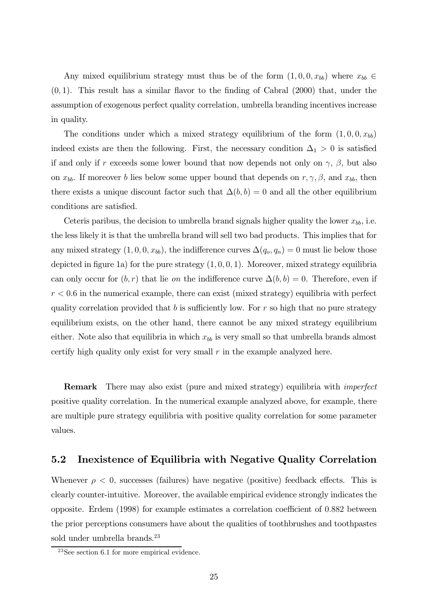Any mixed equilibrium strategy must thus be of the form  $(1, 0, 0, x_{bb})$  where  $x_{bb} \in$  $(0, 1)$ . This result has a similar flavor to the finding of Cabral  $(2000)$  that, under the assumption of exogenous perfect quality correlation, umbrella branding incentives increase in quality.

The conditions under which a mixed strategy equilibrium of the form  $(1, 0, 0, x_{bb})$ indeed exists are then the following. First, the necessary condition  $\Delta_1 > 0$  is satisfied if and only if r exceeds some lower bound that now depends not only on  $\gamma$ ,  $\beta$ , but also on  $x_{bb}$ . If moreover b lies below some upper bound that depends on  $r, \gamma, \beta$ , and  $x_{bb}$ , then there exists a unique discount factor such that  $\Delta(b, b) = 0$  and all the other equilibrium conditions are satisfied.

Ceteris paribus, the decision to umbrella brand signals higher quality the lower  $x_{bb}$ , i.e. the less likely it is that the umbrella brand will sell two bad products. This implies that for any mixed strategy  $(1, 0, 0, x_{bb})$ , the indifference curves  $\Delta(q_o, q_n)=0$  must lie below those depicted in figure 1a) for the pure strategy  $(1, 0, 0, 1)$ . Moreover, mixed strategy equilibria can only occur for  $(b, r)$  that lie *on* the indifference curve  $\Delta(b, b) = 0$ . Therefore, even if  $r < 0.6$  in the numerical example, there can exist (mixed strategy) equilibria with perfect quality correlation provided that  $b$  is sufficiently low. For  $r$  so high that no pure strategy equilibrium exists, on the other hand, there cannot be any mixed strategy equilibrium either. Note also that equilibria in which  $x_{bb}$  is very small so that umbrella brands almost certify high quality only exist for very small  $r$  in the example analyzed here.

**Remark** There may also exist (pure and mixed strategy) equilibria with *imperfect* positive quality correlation. In the numerical example analyzed above, for example, there are multiple pure strategy equilibria with positive quality correlation for some parameter values.

### 5.2 Inexistence of Equilibria with Negative Quality Correlation

Whenever  $\rho < 0$ , successes (failures) have negative (positive) feedback effects. This is clearly counter-intuitive. Moreover, the available empirical evidence strongly indicates the opposite. Erdem (1998) for example estimates a correlation coefficient of <sup>0</sup>.<sup>882</sup> between the prior perceptions consumers have about the qualities of toothbrushes and toothpastes sold under umbrella brands.<sup>23</sup>

<sup>23</sup>See section 6.1 for more empirical evidence.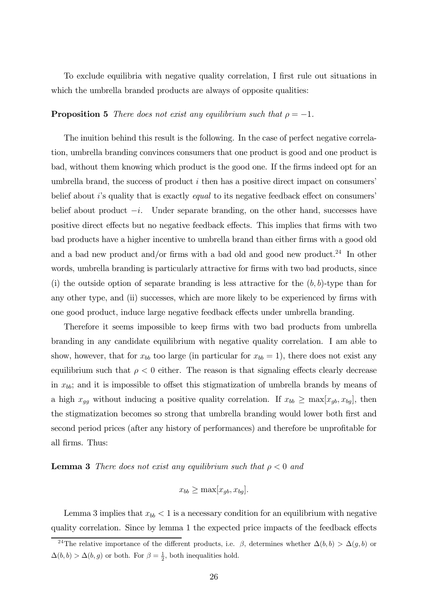To exclude equilibria with negative quality correlation, I first rule out situations in which the umbrella branded products are always of opposite qualities:

#### **Proposition 5** There does not exist any equilibrium such that  $\rho = -1$ .

The inuition behind this result is the following. In the case of perfect negative correlation, umbrella branding convinces consumers that one product is good and one product is bad, without them knowing which product is the good one. If the firms indeed opt for an umbrella brand, the success of product  $i$  then has a positive direct impact on consumers' belief about i's quality that is exactly *equal* to its negative feedback effect on consumers' belief about product  $-i$ . Under separate branding, on the other hand, successes have positive direct effects but no negative feedback effects. This implies that firms with two bad products have a higher incentive to umbrella brand than either firms with a good old and a bad new product and/or firms with a bad old and good new product.<sup>24</sup> In other words, umbrella branding is particularly attractive for firms with two bad products, since (i) the outside option of separate branding is less attractive for the  $(b, b)$ -type than for any other type, and (ii) successes, which are more likely to be experienced by firms with one good product, induce large negative feedback effects under umbrella branding.

Therefore it seems impossible to keep firms with two bad products from umbrella branding in any candidate equilibrium with negative quality correlation. I am able to show, however, that for  $x_{bb}$  too large (in particular for  $x_{bb} = 1$ ), there does not exist any equilibrium such that  $\rho < 0$  either. The reason is that signaling effects clearly decrease in  $x_{bb}$ ; and it is impossible to offset this stigmatization of umbrella brands by means of a high  $x_{gg}$  without inducing a positive quality correlation. If  $x_{bb} \ge \max[x_{gb}, x_{bg}]$ , then the stigmatization becomes so strong that umbrella branding would lower both first and second period prices (after any history of performances) and therefore be unprofitable for all firms. Thus:

#### **Lemma 3** There does not exist any equilibrium such that  $\rho < 0$  and

$$
x_{bb} \ge \max[x_{gb}, x_{bg}].
$$

Lemma 3 implies that  $x_{bb} < 1$  is a necessary condition for an equilibrium with negative quality correlation. Since by lemma 1 the expected price impacts of the feedback effects

<sup>&</sup>lt;sup>24</sup>The relative importance of the different products, i.e.  $\beta$ , determines whether  $\Delta(b, b) > \Delta(g, b)$  or  $\Delta(b, b) > \Delta(b, g)$  or both. For  $\beta = \frac{1}{2}$ , both inequalities hold.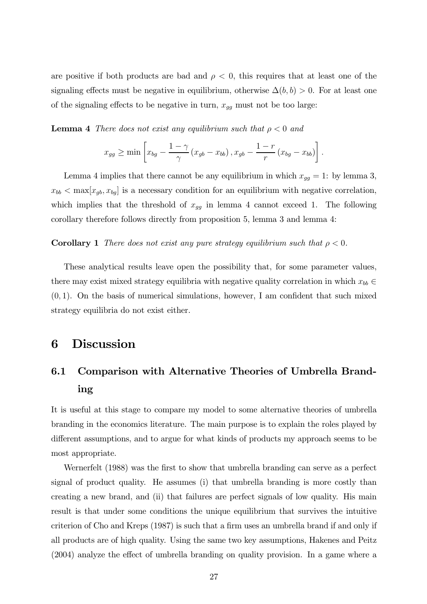are positive if both products are bad and  $\rho < 0$ , this requires that at least one of the signaling effects must be negative in equilibrium, otherwise  $\Delta(b, b) > 0$ . For at least one of the signaling effects to be negative in turn,  $x_{qq}$  must not be too large:

**Lemma 4** There does not exist any equilibrium such that  $\rho < 0$  and

$$
x_{gg} \geq \min \left[ x_{bg} - \frac{1-\gamma}{\gamma} \left( x_{gb} - x_{bb} \right), x_{gb} - \frac{1-r}{r} \left( x_{bg} - x_{bb} \right) \right].
$$

Lemma 4 implies that there cannot be any equilibrium in which  $x_{gg} = 1$ : by lemma 3,  $x_{bb} < \max[x_{gb}, x_{bg}]$  is a necessary condition for an equilibrium with negative correlation, which implies that the threshold of  $x_{gg}$  in lemma 4 cannot exceed 1. The following corollary therefore follows directly from proposition 5, lemma 3 and lemma 4:

**Corollary 1** There does not exist any pure strategy equilibrium such that  $\rho < 0$ .

These analytical results leave open the possibility that, for some parameter values, there may exist mixed strategy equilibria with negative quality correlation in which  $x_{bb} \in$  $(0, 1)$ . On the basis of numerical simulations, however, I am confident that such mixed strategy equilibria do not exist either.

# 6 Discussion

# 6.1 Comparison with Alternative Theories of Umbrella Branding

It is useful at this stage to compare my model to some alternative theories of umbrella branding in the economics literature. The main purpose is to explain the roles played by different assumptions, and to argue for what kinds of products my approach seems to be most appropriate.

Wernerfelt (1988) was the first to show that umbrella branding can serve as a perfect signal of product quality. He assumes (i) that umbrella branding is more costly than creating a new brand, and (ii) that failures are perfect signals of low quality. His main result is that under some conditions the unique equilibrium that survives the intuitive criterion of Cho and Kreps (1987) is such that a firm uses an umbrella brand if and only if all products are of high quality. Using the same two key assumptions, Hakenes and Peitz (2004) analyze the effect of umbrella branding on quality provision. In a game where a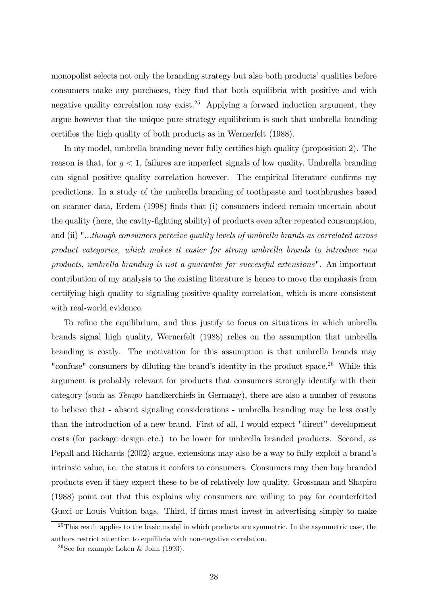monopolist selects not only the branding strategy but also both products' qualities before consumers make any purchases, they find that both equilibria with positive and with negative quality correlation may exist.<sup>25</sup> Applying a forward induction argument, they argue however that the unique pure strategy equilibrium is such that umbrella branding certifies the high quality of both products as in Wernerfelt (1988).

In my model, umbrella branding never fully certifies high quality (proposition 2). The reason is that, for  $g < 1$ , failures are imperfect signals of low quality. Umbrella branding can signal positive quality correlation however. The empirical literature confirms my predictions. In a study of the umbrella branding of toothpaste and toothbrushes based on scanner data, Erdem (1998) finds that (i) consumers indeed remain uncertain about the quality (here, the cavity-fighting ability) of products even after repeated consumption, and (ii) "...though consumers perceive quality levels of umbrella brands as correlated across product categories, which makes it easier for strong umbrella brands to introduce new products, umbrella branding is not a guarantee for successful extensions". An important contribution of my analysis to the existing literature is hence to move the emphasis from certifying high quality to signaling positive quality correlation, which is more consistent with real-world evidence.

To refine the equilibrium, and thus justify te focus on situations in which unbrella brands signal high quality, Wernerfelt (1988) relies on the assumption that umbrella branding is costly. The motivation for this assumption is that umbrella brands may "confuse" consumers by diluting the brand's identity in the product space.<sup>26</sup> While this argument is probably relevant for products that consumers strongly identify with their category (such as Tempo handkerchiefs in Germany), there are also a number of reasons to believe that - absent signaling considerations - umbrella branding may be less costly than the introduction of a new brand. First of all, I would expect "direct" development costs (for package design etc.) to be lower for umbrella branded products. Second, as Pepall and Richards (2002) argue, extensions may also be a way to fully exploit a brand's intrinsic value, i.e. the status it confers to consumers. Consumers may then buy branded products even if they expect these to be of relatively low quality. Grossman and Shapiro (1988) point out that this explains why consumers are willing to pay for counterfeited Gucci or Louis Vuitton bags. Third, if firms must invest in advertising simply to make

 $25$ This result applies to the basic model in which products are symmetric. In the asymmetric case, the authors restrict attention to equilibria with non-negative correlation.

<sup>&</sup>lt;sup>26</sup>See for example Loken & John (1993).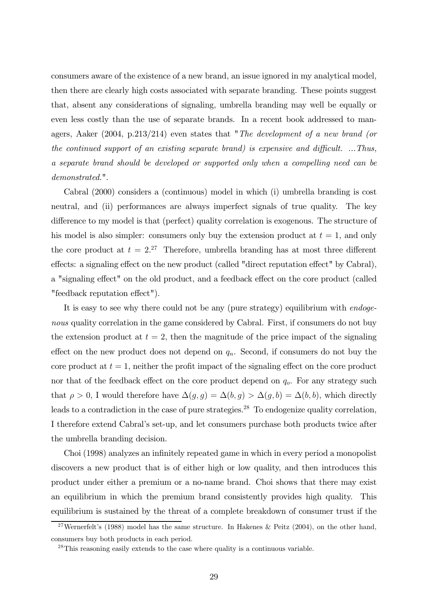consumers aware of the existence of a new brand, an issue ignored in my analytical model, then there are clearly high costs associated with separate branding. These points suggest that, absent any considerations of signaling, umbrella branding may well be equally or even less costly than the use of separate brands. In a recent book addressed to managers, Aaker (2004, p.213/214) even states that "The development of a new brand (or the continued support of an existing separate brand) is expensive and difficult. ...Thus, a separate brand should be developed or supported only when a compelling need can be demonstrated.".

Cabral (2000) considers a (continuous) model in which (i) umbrella branding is cost neutral, and (ii) performances are always imperfect signals of true quality. The key difference to my model is that (perfect) quality correlation is exogenous. The structure of his model is also simpler: consumers only buy the extension product at  $t = 1$ , and only the core product at  $t = 2^{27}$  Therefore, umbrella branding has at most three different effects: a signaling effect on the new product (called "direct reputation effect" by Cabral), a "signaling effect" on the old product, and a feedback effect on the core product (called "feedback reputation effect").

It is easy to see why there could not be any (pure strategy) equilibrium with endogenous quality correlation in the game considered by Cabral. First, if consumers do not buy the extension product at  $t = 2$ , then the magnitude of the price impact of the signaling effect on the new product does not depend on  $q_n$ . Second, if consumers do not buy the core product at  $t = 1$ , neither the profit impact of the signaling effect on the core product nor that of the feedback effect on the core product depend on  $q<sub>o</sub>$ . For any strategy such that  $\rho > 0$ , I would therefore have  $\Delta(g, g) = \Delta(b, g) > \Delta(g, b) = \Delta(b, b)$ , which directly leads to a contradiction in the case of pure strategies.<sup>28</sup> To endogenize quality correlation, I therefore extend Cabral's set-up, and let consumers purchase both products twice after the umbrella branding decision.

Choi (1998) analyzes an infinitely repeated game in which in every period a monopolist discovers a new product that is of either high or low quality, and then introduces this product under either a premium or a no-name brand. Choi shows that there may exist an equilibrium in which the premium brand consistently provides high quality. This equilibrium is sustained by the threat of a complete breakdown of consumer trust if the

<sup>&</sup>lt;sup>27</sup>Wernerfelt's (1988) model has the same structure. In Hakenes & Peitz (2004), on the other hand, consumers buy both products in each period.

<sup>&</sup>lt;sup>28</sup>This reasoning easily extends to the case where quality is a continuous variable.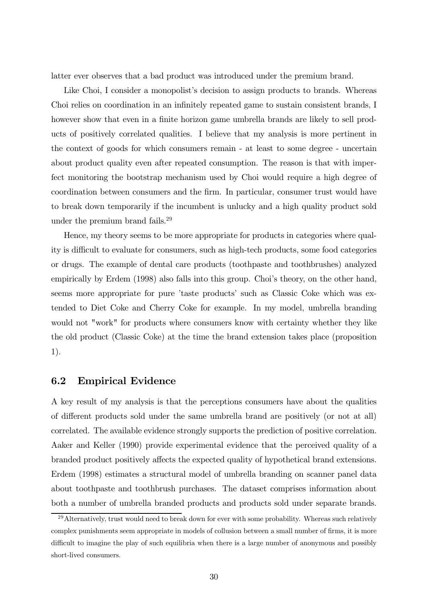latter ever observes that a bad product was introduced under the premium brand.

Like Choi, I consider a monopolist's decision to assign products to brands. Whereas Choi relies on coordination in an infinitely repeated game to sustain consistent brands, I however show that even in a finite horizon game umbrella brands are likely to sell products of positively correlated qualities. I believe that my analysis is more pertinent in the context of goods for which consumers remain - at least to some degree - uncertain about product quality even after repeated consumption. The reason is that with imperfect monitoring the bootstrap mechanism used by Choi would require a high degree of coordination between consumers and the firm. In particular, consumer trust would have to break down temporarily if the incumbent is unlucky and a high quality product sold under the premium brand fails.29

Hence, my theory seems to be more appropriate for products in categories where quality is difficult to evaluate for consumers, such as high-tech products, some food categories or drugs. The example of dental care products (toothpaste and toothbrushes) analyzed empirically by Erdem (1998) also falls into this group. Choi's theory, on the other hand, seems more appropriate for pure 'taste products' such as Classic Coke which was extended to Diet Coke and Cherry Coke for example. In my model, umbrella branding would not "work" for products where consumers know with certainty whether they like the old product (Classic Coke) at the time the brand extension takes place (proposition 1).

### 6.2 Empirical Evidence

A key result of my analysis is that the perceptions consumers have about the qualities of different products sold under the same umbrella brand are positively (or not at all) correlated. The available evidence strongly supports the prediction of positive correlation. Aaker and Keller (1990) provide experimental evidence that the perceived quality of a branded product positively affects the expected quality of hypothetical brand extensions. Erdem (1998) estimates a structural model of umbrella branding on scanner panel data about toothpaste and toothbrush purchases. The dataset comprises information about both a number of umbrella branded products and products sold under separate brands.

 $^{29}$ Alternatively, trust would need to break down for ever with some probability. Whereas such relatively complex punishments seem appropriate in models of collusion between a small number of firms, it is more difficult to imagine the play of such equilibria when there is a large number of anonymous and possibly short-lived consumers.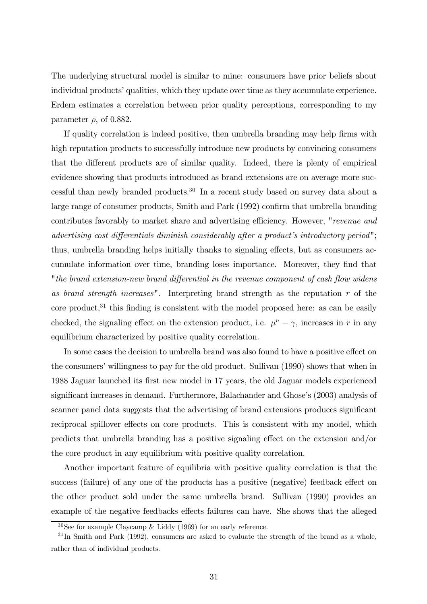The underlying structural model is similar to mine: consumers have prior beliefs about individual products' qualities, which they update over time as they accumulate experience. Erdem estimates a correlation between prior quality perceptions, corresponding to my parameter  $\rho$ , of 0.882.

If quality correlation is indeed positive, then umbrella branding may help firms with high reputation products to successfully introduce new products by convincing consumers that the different products are of similar quality. Indeed, there is plenty of empirical evidence showing that products introduced as brand extensions are on average more successful than newly branded products.30 In a recent study based on survey data about a large range of consumer products, Smith and Park (1992) confirm that umbrella branding contributes favorably to market share and advertising efficiency. However, "revenue and advertising cost differentials diminish considerably after a product's introductory period"; thus, umbrella branding helps initially thanks to signaling effects, but as consumers accumulate information over time, branding loses importance. Moreover, they find that "the brand extension-new brand differential in the revenue component of cash flow widens as brand strength increases". Interpreting brand strength as the reputation  $r$  of the core product, $31$  this finding is consistent with the model proposed here: as can be easily checked, the signaling effect on the extension product, i.e.  $\mu^{n} - \gamma$ , increases in r in any equilibrium characterized by positive quality correlation.

In some cases the decision to umbrella brand was also found to have a positive effect on the consumers' willingness to pay for the old product. Sullivan (1990) shows that when in 1988 Jaguar launched its first new model in 17 years, the old Jaguar models experienced significant increases in demand. Furthermore, Balachander and Ghose's (2003) analysis of scanner panel data suggests that the advertising of brand extensions produces significant reciprocal spillover effects on core products. This is consistent with my model, which predicts that umbrella branding has a positive signaling effect on the extension and/or the core product in any equilibrium with positive quality correlation.

Another important feature of equilibria with positive quality correlation is that the success (failure) of any one of the products has a positive (negative) feedback effect on the other product sold under the same umbrella brand. Sullivan (1990) provides an example of the negative feedbacks effects failures can have. She shows that the alleged

 $30$ See for example Claycamp & Liddy (1969) for an early reference.

 $31$ In Smith and Park (1992), consumers are asked to evaluate the strength of the brand as a whole, rather than of individual products.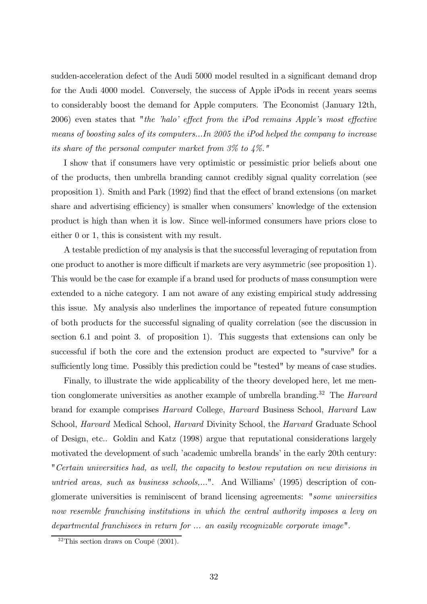sudden-acceleration defect of the Audi 5000 model resulted in a significant demand drop for the Audi 4000 model. Conversely, the success of Apple iPods in recent years seems to considerably boost the demand for Apple computers. The Economist (January 12th, 2006) even states that "the 'halo' effect from the iPod remains Apple's most effective means of boosting sales of its computers...In 2005 the iPod helped the company to increase its share of the personal computer market from  $3\%$  to  $4\%$ ."

I show that if consumers have very optimistic or pessimistic prior beliefs about one of the products, then umbrella branding cannot credibly signal quality correlation (see proposition 1). Smith and Park (1992) find that the effect of brand extensions (on market share and advertising efficiency) is smaller when consumers' knowledge of the extension product is high than when it is low. Since well-informed consumers have priors close to either 0 or 1, this is consistent with my result.

A testable prediction of my analysis is that the successful leveraging of reputation from one product to another is more difficult if markets are very asymmetric (see proposition 1). This would be the case for example if a brand used for products of mass consumption were extended to a niche category. I am not aware of any existing empirical study addressing this issue. My analysis also underlines the importance of repeated future consumption of both products for the successful signaling of quality correlation (see the discussion in section 6.1 and point 3. of proposition 1). This suggests that extensions can only be successful if both the core and the extension product are expected to "survive" for a sufficiently long time. Possibly this prediction could be "tested" by means of case studies.

Finally, to illustrate the wide applicability of the theory developed here, let me mention conglomerate universities as another example of umbrella branding.<sup>32</sup> The *Harvard* brand for example comprises Harvard College, Harvard Business School, Harvard Law School, Harvard Medical School, Harvard Divinity School, the Harvard Graduate School of Design, etc.. Goldin and Katz (1998) argue that reputational considerations largely motivated the development of such 'academic umbrella brands' in the early 20th century: "Certain universities had, as well, the capacity to bestow reputation on new divisions in untried areas, such as business schools,...". And Williams' (1995) description of conglomerate universities is reminiscent of brand licensing agreements: "some universities now resemble franchising institutions in which the central authority imposes a levy on departmental franchisees in return for ... an easily recognizable corporate image".

<sup>32</sup>This section draws on Coupé (2001).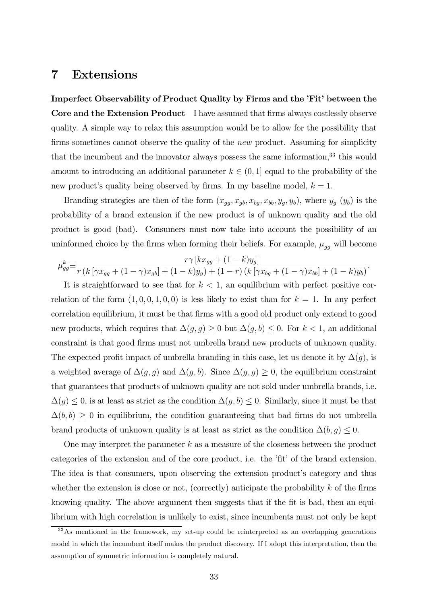### 7 Extensions

Imperfect Observability of Product Quality by Firms and the 'Fit' between the Core and the Extension Product I have assumed that firms always costlessly observe quality. A simple way to relax this assumption would be to allow for the possibility that firms sometimes cannot observe the quality of the *new* product. Assuming for simplicity that the incumbent and the innovator always possess the same information, $33$  this would amount to introducing an additional parameter  $k \in (0, 1]$  equal to the probability of the new product's quality being observed by firms. In my baseline model,  $k = 1$ .

Branding strategies are then of the form  $(x_{gg}, x_{gb}, x_{bg}, x_{bb}, y_g, y_b)$ , where  $y_g(y_b)$  is the probability of a brand extension if the new product is of unknown quality and the old product is good (bad). Consumers must now take into account the possibility of an uninformed choice by the firms when forming their beliefs. For example,  $\mu_{gg}$  will become

$$
\mu_{gg}^k \equiv \frac{r\gamma \left[ kx_{gg} + (1 - k)y_g \right]}{r \left( k \left[ \gamma x_{gg} + (1 - \gamma)x_{gb} \right] + (1 - k)y_g \right) + (1 - r) \left( k \left[ \gamma x_{bg} + (1 - \gamma)x_{bb} \right] + (1 - k)y_b \right)}.
$$

It is straightforward to see that for  $k < 1$ , an equilibrium with perfect positive correlation of the form  $(1, 0, 0, 1, 0, 0)$  is less likely to exist than for  $k = 1$ . In any perfect correlation equilibrium, it must be that firms with a good old product only extend to good new products, which requires that  $\Delta(g,g) \geq 0$  but  $\Delta(g,b) \leq 0$ . For  $k < 1$ , an additional constraint is that good firms must not umbrella brand new products of unknown quality. The expected profit impact of umbrella branding in this case, let us denote it by  $\Delta(g)$ , is a weighted average of  $\Delta(g, g)$  and  $\Delta(g, b)$ . Since  $\Delta(g, g) \geq 0$ , the equilibrium constraint that guarantees that products of unknown quality are not sold under umbrella brands, i.e.  $\Delta(g) \leq 0$ , is at least as strict as the condition  $\Delta(g, b) \leq 0$ . Similarly, since it must be that  $\Delta(b, b) \geq 0$  in equilibrium, the condition guaranteeing that bad firms do not umbrella brand products of unknown quality is at least as strict as the condition  $\Delta(b, g) \leq 0$ .

One may interpret the parameter  $k$  as a measure of the closeness between the product categories of the extension and of the core product, i.e. the 'fit' of the brand extension. The idea is that consumers, upon observing the extension product's category and thus whether the extension is close or not, (correctly) anticipate the probability  $k$  of the firms knowing quality. The above argument then suggests that if the fit is bad, then an equilibrium with high correlation is unlikely to exist, since incumbents must not only be kept

 $33\text{As}$  mentioned in the framework, my set-up could be reinterpreted as an overlapping generations model in which the incumbent itself makes the product discovery. If I adopt this interpretation, then the assumption of symmetric information is completely natural.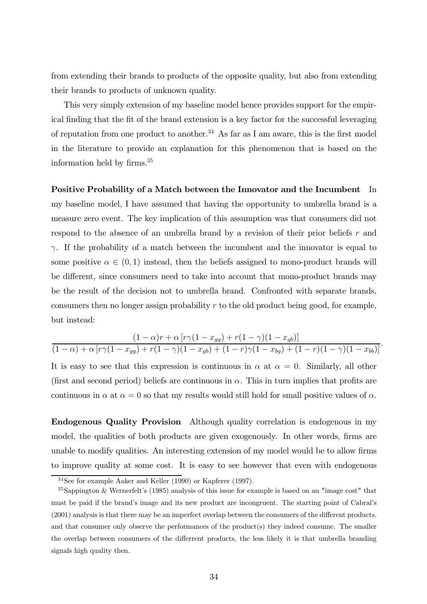from extending their brands to products of the opposite quality, but also from extending their brands to products of unknown quality.

This very simply extension of my baseline model hence provides support for the empirical finding that the fit of the brand extension is a key factor for the successful leveraging of reputation from one product to another.<sup>34</sup> As far as I am aware, this is the first model in the literature to provide an explanation for this phenomenon that is based on the information held by firms.35

#### Positive Probability of a Match between the Innovator and the Incumbent In

my baseline model, I have assumed that having the opportunity to umbrella brand is a measure zero event. The key implication of this assumption was that consumers did not respond to the absence of an umbrella brand by a revision of their prior beliefs  $r$  and  $\gamma$ . If the probability of a match between the incumbent and the innovator is equal to some positive  $\alpha \in (0, 1)$  instead, then the beliefs assigned to mono-product brands will be different, since consumers need to take into account that mono-product brands may be the result of the decision not to umbrella brand. Confronted with separate brands, consumers then no longer assign probability  $r$  to the old product being good, for example, but instead:

$$
\frac{(1-\alpha)r+\alpha [r\gamma(1-x_{gg})+r(1-\gamma)(1-x_{gb})]}{(1-\alpha)+\alpha [r\gamma(1-x_{gg})+r(1-\gamma)(1-x_{gb})+(1-r)\gamma(1-x_{bg})+(1-r)(1-\gamma)(1-x_{bb})]}.
$$

It is easy to see that this expression is continuous in  $\alpha$  at  $\alpha = 0$ . Similarly, all other (first and second period) beliefs are continuous in  $\alpha$ . This in turn implies that profits are continuous in  $\alpha$  at  $\alpha = 0$  so that my results would still hold for small positive values of  $\alpha$ .

Endogenous Quality Provision Although quality correlation is endogenous in my model, the qualities of both products are given exogenously. In other words, firms are unable to modify qualities. An interesting extension of my model would be to allow firms to improve quality at some cost. It is easy to see however that even with endogenous

<sup>34</sup>See for example Aaker and Keller (1990) or Kapferer (1997).

<sup>35</sup>Sappington & Wernerfelt's (1985) analysis of this issue for example is based on an "image cost" that must be paid if the brand's image and its new product are incongruent. The starting point of Cabral's (2001) analysis is that there may be an imperfect overlap between the consumers of the different products, and that consumer only observe the performances of the product(s) they indeed consume. The smaller the overlap between consumers of the differrent products, the less likely it is that umbrella branding signals high quality then.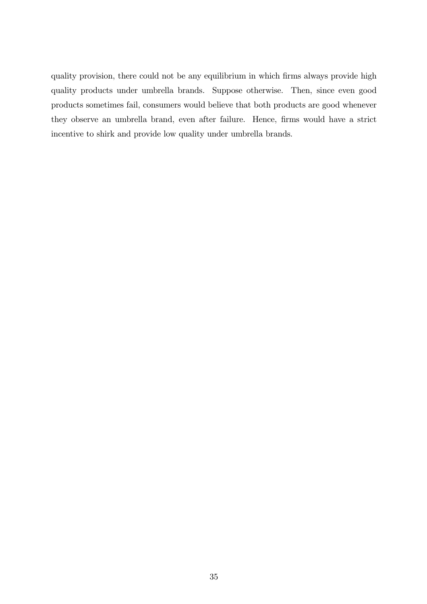quality provision, there could not be any equilibrium in which firms always provide high quality products under umbrella brands. Suppose otherwise. Then, since even good products sometimes fail, consumers would believe that both products are good whenever they observe an umbrella brand, even after failure. Hence, firms would have a strict incentive to shirk and provide low quality under umbrella brands.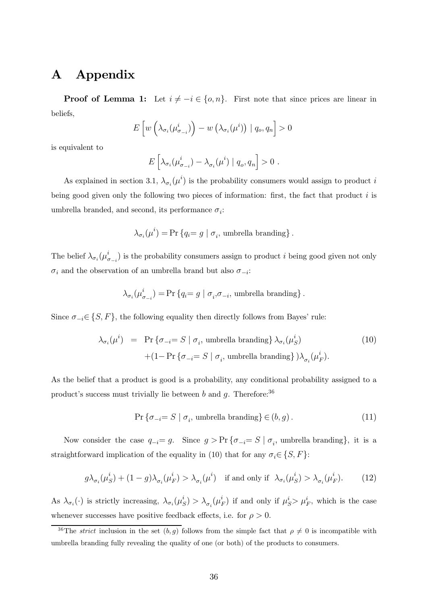# A Appendix

**Proof of Lemma 1:** Let  $i \neq -i \in \{o, n\}$ . First note that since prices are linear in beliefs, L  $\frac{1}{2}$ j. J.

$$
E\left[w\left(\lambda_{\sigma_i}(\mu_{\sigma_{-i}}^i)\right)-w\left(\lambda_{\sigma_i}(\mu^i)\right) \mid q_o, q_n\right]>0
$$

is equivalent to

$$
E\left[\lambda_{\sigma_i}(\mu_{\sigma_{-i}}^i) - \lambda_{\sigma_i}(\mu^i) \mid q_o, q_n\right] > 0.
$$

As explained in section 3.1,  $\lambda_{\sigma_i}(\mu^i)$  is the probability consumers would assign to product i being good given only the following two pieces of information: first, the fact that product  $i$  is umbrella branded, and second, its performance  $\sigma_i$ :

$$
\lambda_{\sigma_i}(\mu^i) = \Pr\left\{q_i = g \mid \sigma_i, \text{ umbrella branching}\right\}.
$$

The belief  $\lambda_{\sigma_i}(\mu_{\sigma_{-i}}^i)$  is the probability consumers assign to product i being good given not only  $\sigma_i$  and the observation of an umbrella brand but also  $\sigma_{-i}$ :

$$
\lambda_{\sigma_i}(\mu_{\sigma_{-i}}^i) = \Pr\left\{q_i = g \mid \sigma_i, \sigma_{-i}, \text{ umbrella branching}\right\}.
$$

Since  $\sigma_{-i} \in \{S, F\}$ , the following equality then directly follows from Bayes' rule:

$$
\lambda_{\sigma_i}(\mu^i) = \Pr \{ \sigma_{-i} = S \mid \sigma_i, \text{ umbrella branching} \} \lambda_{\sigma_i}(\mu^i_S) + (1 - \Pr \{ \sigma_{-i} = S \mid \sigma_i, \text{ umbrella branching} \} ) \lambda_{\sigma_i}(\mu^i_F).
$$
\n(10)

As the belief that a product is good is a probability, any conditional probability assigned to a product's success must trivially lie between b and g. Therefore:  $36$ 

$$
\Pr\left\{\sigma_{-i}=S \mid \sigma_i, \text{ umbrella branching}\right\} \in (b, g). \tag{11}
$$

Now consider the case  $q_{-i} = g$ . Since  $g > \Pr{\lbrace \sigma_{-i} = S \mid \sigma_i, \text{ umbrella branching} \rbrace}$ , it is a straightforward implication of the equality in (10) that for any  $\sigma_i \in \{S, F\}$ :

$$
g\lambda_{\sigma_i}(\mu_S^i) + (1-g)\lambda_{\sigma_i}(\mu_F^i) > \lambda_{\sigma_i}(\mu^i) \quad \text{if and only if} \quad \lambda_{\sigma_i}(\mu_S^i) > \lambda_{\sigma_i}(\mu_F^i). \tag{12}
$$

As  $\lambda_{\sigma_i}(\cdot)$  is strictly increasing,  $\lambda_{\sigma_i}(\mu_S^i) > \lambda_{\sigma_i}(\mu_F^i)$  if and only if  $\mu_S^i > \mu_F^i$ , which is the case whenever successes have positive feedback effects, i.e. for  $\rho > 0$ .

<sup>&</sup>lt;sup>36</sup>The *strict* inclusion in the set  $(b, g)$  follows from the simple fact that  $\rho \neq 0$  is incompatible with umbrella branding fully revealing the quality of one (or both) of the products to consumers.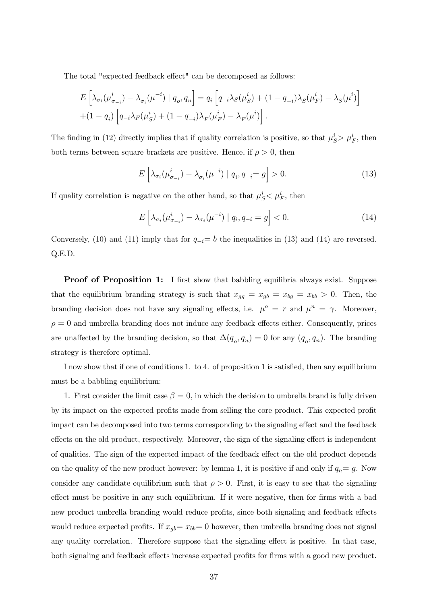The total "expected feedback effect" can be decomposed as follows:

$$
E\left[\lambda_{\sigma_i}(\mu_{\sigma_{-i}}^i) - \lambda_{\sigma_i}(\mu^{-i}) \mid q_o, q_n\right] = q_i \left[q_{-i}\lambda_S(\mu_S^i) + (1 - q_{-i})\lambda_S(\mu_F^i) - \lambda_S(\mu^i)\right] + (1 - q_i) \left[q_{-i}\lambda_F(\mu_S^i) + (1 - q_{-i})\lambda_F(\mu_F^i) - \lambda_F(\mu^i)\right].
$$

The finding in (12) directly implies that if quality correlation is positive, so that  $\mu_S^i > \mu_F^i$ , then both terms between square brackets are positive. Hence, if  $\rho > 0$ , then

$$
E\left[\lambda_{\sigma_i}(\mu_{\sigma_{-i}}^i) - \lambda_{\sigma_i}(\mu^{-i}) \mid q_i, q_{-i} = g\right] > 0.
$$
\n(13)

If quality correlation is negative on the other hand, so that  $\mu_S^i < \mu_F^i$ , then

$$
E\left[\lambda_{\sigma_i}(\mu_{\sigma_{-i}}^i) - \lambda_{\sigma_i}(\mu^{-i}) \mid q_i, q_{-i} = g\right] < 0. \tag{14}
$$

Conversely, (10) and (11) imply that for  $q_{-i}=b$  the inequalities in (13) and (14) are reversed. Q.E.D.

**Proof of Proposition 1:** I first show that babbling equilibria always exist. Suppose that the equilibrium branding strategy is such that  $x_{gg} = x_{gb} = x_{bg} = x_{bb} > 0$ . Then, the branding decision does not have any signaling effects, i.e.  $\mu^o = r$  and  $\mu^n = \gamma$ . Moreover,  $\rho = 0$  and umbrella branding does not induce any feedback effects either. Consequently, prices are unaffected by the branding decision, so that  $\Delta(q_o, q_n)=0$  for any  $(q_o, q_n)$ . The branding strategy is therefore optimal.

I now show that if one of conditions 1. to 4. of proposition 1 is satisfied, then any equilibrium must be a babbling equilibrium:

1. First consider the limit case  $\beta = 0$ , in which the decision to umbrella brand is fully driven by its impact on the expected profits made from selling the core product. This expected profit impact can be decomposed into two terms corresponding to the signaling effect and the feedback effects on the old product, respectively. Moreover, the sign of the signaling effect is independent of qualities. The sign of the expected impact of the feedback effect on the old product depends on the quality of the new product however: by lemma 1, it is positive if and only if  $q_n = g$ . Now consider any candidate equilibrium such that  $\rho > 0$ . First, it is easy to see that the signaling effect must be positive in any such equilibrium. If it were negative, then for firms with a bad new product umbrella branding would reduce profits, since both signaling and feedback effects would reduce expected profits. If  $x_{gb}= x_{bb}= 0$  however, then umbrella branding does not signal any quality correlation. Therefore suppose that the signaling effect is positive. In that case, both signaling and feedback effects increase expected profits for firms with a good new product.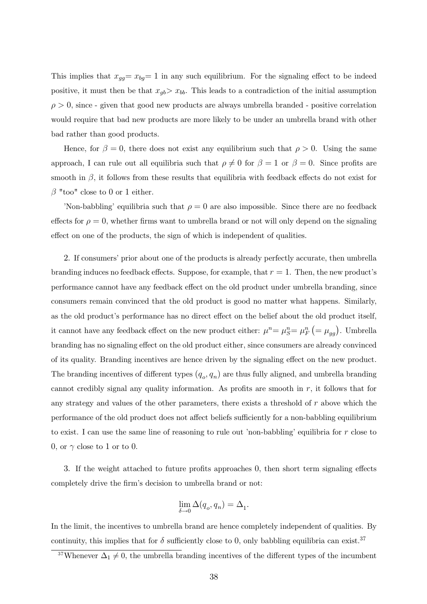This implies that  $x_{gg}= x_{bg}= 1$  in any such equilibrium. For the signaling effect to be indeed positive, it must then be that  $x_{gb} > x_{bb}$ . This leads to a contradiction of the initial assumption  $\rho > 0$ , since - given that good new products are always umbrella branded - positive correlation would require that bad new products are more likely to be under an umbrella brand with other bad rather than good products.

Hence, for  $\beta = 0$ , there does not exist any equilibrium such that  $\rho > 0$ . Using the same approach, I can rule out all equilibria such that  $\rho \neq 0$  for  $\beta = 1$  or  $\beta = 0$ . Since profits are smooth in  $\beta$ , it follows from these results that equilibria with feedback effects do not exist for β "too" close to 0 or 1 either.

'Non-babbling' equilibria such that  $\rho = 0$  are also impossible. Since there are no feedback effects for  $\rho = 0$ , whether firms want to umbrella brand or not will only depend on the signaling effect on one of the products, the sign of which is independent of qualities.

2. If consumers' prior about one of the products is already perfectly accurate, then umbrella branding induces no feedback effects. Suppose, for example, that  $r = 1$ . Then, the new product's performance cannot have any feedback effect on the old product under umbrella branding, since consumers remain convinced that the old product is good no matter what happens. Similarly, as the old product's performance has no direct effect on the belief about the old product itself, it cannot have any feedback effect on the new product either:  $\mu^n = \mu_S^n = \mu_F^n$   $\left( = \mu_{gg} \right)$  . Umbrella branding has no signaling effect on the old product either, since consumers are already convinced of its quality. Branding incentives are hence driven by the signaling effect on the new product. The branding incentives of different types  $(q_o, q_n)$  are thus fully aligned, and umbrella branding cannot credibly signal any quality information. As profits are smooth in  $r$ , it follows that for any strategy and values of the other parameters, there exists a threshold of  $r$  above which the performance of the old product does not affect beliefs sufficiently for a non-babbling equilibrium to exist. I can use the same line of reasoning to rule out 'non-babbling' equilibria for <sup>r</sup> close to 0, or  $\gamma$  close to 1 or to 0.

3. If the weight attached to future profits approaches 0, then short term signaling effects completely drive the firm's decision to umbrella brand or not:

$$
\lim_{\delta \to 0} \Delta(q_o,q_n) = \Delta_1.
$$

In the limit, the incentives to umbrella brand are hence completely independent of qualities. By continuity, this implies that for  $\delta$  sufficiently close to 0, only babbling equilibria can exist.<sup>37</sup>

<sup>&</sup>lt;sup>37</sup>Whenever  $\Delta_1 \neq 0$ , the umbrella branding incentives of the different types of the incumbent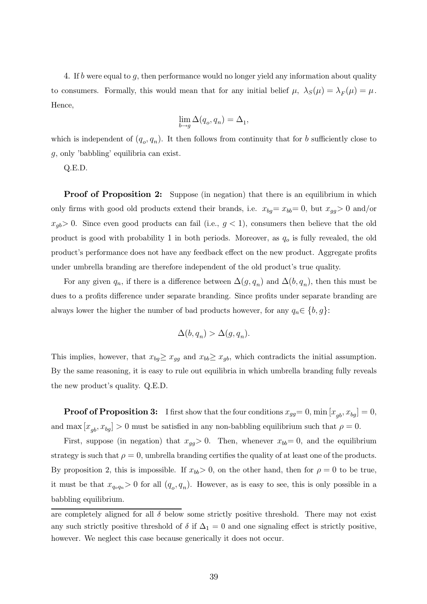4. If b were equal to g, then performance would no longer yield any information about quality to consumers. Formally, this would mean that for any initial belief  $\mu$ ,  $\lambda_S(\mu) = \lambda_F(\mu) = \mu$ . Hence,

$$
\lim_{b \to g} \Delta(q_o, q_n) = \Delta_1,
$$

which is independent of  $(q_o, q_n)$ . It then follows from continuity that for b sufficiently close to g, only 'babbling' equilibria can exist.

Q.E.D.

**Proof of Proposition 2:** Suppose (in negation) that there is an equilibrium in which only firms with good old products extend their brands, i.e.  $x_{bg}= x_{bb}= 0$ , but  $x_{gg}> 0$  and/or  $x_{qb}$  0. Since even good products can fail (i.e.,  $g < 1$ ), consumers then believe that the old product is good with probability 1 in both periods. Moreover, as  $q_o$  is fully revealed, the old product's performance does not have any feedback effect on the new product. Aggregate profits under umbrella branding are therefore independent of the old product's true quality.

For any given  $q_n$ , if there is a difference between  $\Delta(g, q_n)$  and  $\Delta(b, q_n)$ , then this must be dues to a profits difference under separate branding. Since profits under separate branding are always lower the higher the number of bad products however, for any  $q_n \in \{b, g\}$ :

$$
\Delta(b,q_n) > \Delta(g,q_n).
$$

This implies, however, that  $x_{bg} \geq x_{gg}$  and  $x_{bb} \geq x_{gb}$ , which contradicts the initial assumption. By the same reasoning, it is easy to rule out equilibria in which umbrella branding fully reveals the new product's quality. Q.E.D.

**Proof of Proposition 3:** I first show that the four conditions  $x_{gg}=0$ ,  $\min\left[x_{gb}, x_{bg}\right]=0$ , and max  $[x_{ab}, x_{ba}] > 0$  must be satisfied in any non-babbling equilibrium such that  $\rho = 0$ .

First, suppose (in negation) that  $x_{qq} > 0$ . Then, whenever  $x_{bb} = 0$ , and the equilibrium strategy is such that  $\rho = 0$ , umbrella branding certifies the quality of at least one of the products. By proposition 2, this is impossible. If  $x_{bb} > 0$ , on the other hand, then for  $\rho = 0$  to be true, it must be that  $x_{q_o q_n} > 0$  for all  $(q_o, q_n)$ . However, as is easy to see, this is only possible in a babbling equilibrium.

are completely aligned for all  $\delta$  below some strictly positive threshold. There may not exist any such strictly positive threshold of  $\delta$  if  $\Delta_1 = 0$  and one signaling effect is strictly positive, however. We neglect this case because generically it does not occur.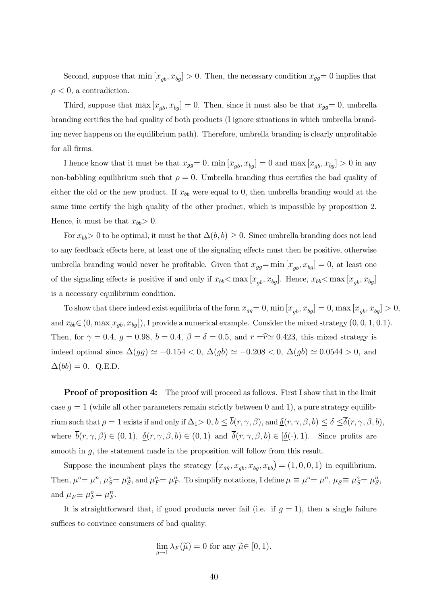Second, suppose that  $\min [x_{gb}, x_{bg}] > 0$ . Then, the necessary condition  $x_{gg} = 0$  implies that  $\rho < 0$ , a contradiction.

Third, suppose that  $\max [x_{qb}, x_{bg}] = 0$ . Then, since it must also be that  $x_{gg}= 0$ , umbrella branding certifies the bad quality of both products (I ignore situations in which umbrella branding never happens on the equilibrium path). Therefore, umbrella branding is clearly unprofitable for all firms.

I hence know that it must be that  $x_{gg}=0$ ,  $\min [x_{qb}, x_{bg}]=0$  and  $\max [x_{qb}, x_{bg}] > 0$  in any non-babbling equilibrium such that  $\rho = 0$ . Umbrella branding thus certifies the bad quality of either the old or the new product. If  $x_{bb}$  were equal to 0, then umbrella branding would at the same time certify the high quality of the other product, which is impossible by proposition 2. Hence, it must be that  $x_{bb} > 0$ .

For  $x_{bb} > 0$  to be optimal, it must be that  $\Delta(b, b) \geq 0$ . Since umbrella branding does not lead to any feedback effects here, at least one of the signaling effects must then be positive, otherwise umbrella branding would never be profitable. Given that  $x_{gg} = \min [x_{gb}, x_{bg}] = 0$ , at least one of the signaling effects is positive if and only if  $x_{bb} < \max[x_{gb}, x_{bg}]$ . Hence,  $x_{bb} < \max[x_{gb}, x_{bg}]$ is a necessary equilibrium condition.

To show that there indeed exist equilibria of the form  $x_{gg}=0$ ,  $\min [x_{qb}, x_{bg}]=0$ ,  $\max [x_{qb}, x_{bg}] > 0$ , and  $x_{bb} \in (0, \max[x_{gb}, x_{bg}])$ , I provide a numerical example. Consider the mixed strategy  $(0, 0, 1, 0.1)$ . Then, for  $\gamma = 0.4$ ,  $g = 0.98$ ,  $b = 0.4$ ,  $\beta = \delta = 0.5$ , and  $r = \hat{r} \approx 0.423$ , this mixed strategy is indeed optimal since  $\Delta(gg) \simeq -0.154 < 0$ ,  $\Delta(gb) \simeq -0.208 < 0$ ,  $\Delta(gb) \simeq 0.0544 > 0$ , and  $\Delta(bb)=0.$  Q.E.D.

Proof of proposition 4: The proof will proceed as follows. First I show that in the limit case  $q = 1$  (while all other parameters remain strictly between 0 and 1), a pure strategy equilibrium such that  $\rho = 1$  exists if and only if  $\Delta_1 > 0$ ,  $b \leq \overline{b}(r, \gamma, \beta)$ , and  $\underline{\delta}(r, \gamma, \beta, b) \leq \delta \leq \overline{\delta}(r, \gamma, \beta, b)$ , where  $\overline{b}(r, \gamma, \beta) \in (0, 1), \underline{\delta}(r, \gamma, \beta, b) \in (0, 1)$  and  $\overline{\delta}(r, \gamma, \beta, b) \in [\underline{\delta}(\cdot), 1)$ . Since profits are smooth in  $q$ , the statement made in the proposition will follow from this result.

Suppose the incumbent plays the strategy  $(x_{gg}, x_{gb}, x_{bg}, x_{bb})$  $= (1, 0, 0, 1)$  in equilibrium. Then,  $\mu^o = \mu^n$ ,  $\mu_S^o = \mu_S^n$ , and  $\mu_F^o = \mu_F^n$ . To simplify notations, I define  $\mu \equiv \mu^o = \mu^n$ ,  $\mu_S \equiv \mu_S^o = \mu_S^n$ , and  $\mu_F \equiv \mu_F^o = \mu_F^n$ .

It is straightforward that, if good products never fail (i.e. if  $g = 1$ ), then a single failure suffices to convince consumers of bad quality:

$$
\lim_{g \to 1} \lambda_F(\widetilde{\mu}) = 0
$$
 for any  $\widetilde{\mu} \in [0, 1)$ .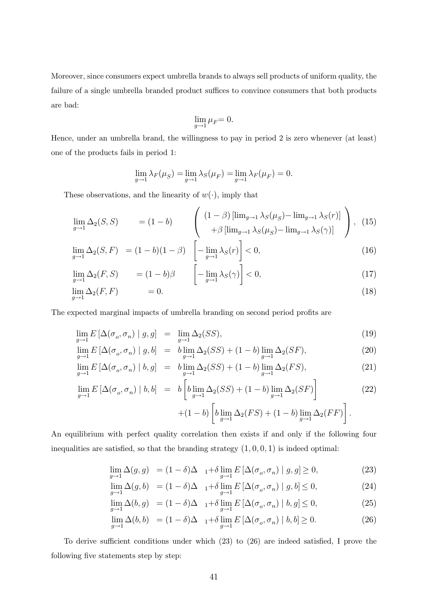Moreover, since consumers expect umbrella brands to always sell products of uniform quality, the failure of a single umbrella branded product suffices to convince consumers that both products are bad:

$$
\lim_{g\to 1}\mu_F{=}~0.
$$

Hence, under an umbrella brand, the willingness to pay in period 2 is zero whenever (at least) one of the products fails in period 1:

$$
\lim_{g \to 1} \lambda_F(\mu_S) = \lim_{g \to 1} \lambda_S(\mu_F) = \lim_{g \to 1} \lambda_F(\mu_F) = 0.
$$

These observations, and the linearity of  $w(\cdot)$ , imply that  $\mathbb{R}^2$ 

$$
\lim_{g \to 1} \Delta_2(S, S) = (1 - b) \qquad \left( \begin{array}{c} (1 - \beta) \left[ \lim_{g \to 1} \lambda_S(\mu_S) - \lim_{g \to 1} \lambda_S(r) \right] \\ + \beta \left[ \lim_{g \to 1} \lambda_S(\mu_S) - \lim_{g \to 1} \lambda_S(\gamma) \right] \end{array} \right), \tag{15}
$$

$$
\lim_{g \to 1} \Delta_2(S, F) = (1 - b)(1 - \beta) \left[ -\lim_{g \to 1} \lambda_S(r) \right] < 0,
$$
\n(16)

$$
\lim_{g \to 1} \Delta_2(F, S) = (1 - b)\beta \qquad \left[ -\lim_{g \to 1} \lambda_S(\gamma) \right] < 0,\tag{17}
$$

$$
\lim_{g \to 1} \Delta_2(F, F) = 0. \tag{18}
$$

The expected marginal impacts of umbrella branding on second period profits are

$$
\lim_{g \to 1} E\left[\Delta(\sigma_o, \sigma_n) \mid g, g\right] = \lim_{g \to 1} \Delta_2(SS),\tag{19}
$$

$$
\lim_{g \to 1} E\left[\Delta(\sigma_o, \sigma_n) \mid g, b\right] = b \lim_{g \to 1} \Delta_2(SS) + (1 - b) \lim_{g \to 1} \Delta_2(SF),\tag{20}
$$

$$
\lim_{g \to 1} E\left[\Delta(\sigma_o, \sigma_n) \mid b, g\right] = b \lim_{g \to 1} \Delta_2(SS) + (1 - b) \lim_{g \to 1} \Delta_2(FS),\tag{21}
$$

$$
\lim_{g \to 1} E\left[\Delta(\sigma_o, \sigma_n) \mid b, b\right] = b \left[b \lim_{g \to 1} \Delta_2(SS) + (1 - b) \lim_{g \to 1} \Delta_2(SF)\right]
$$
\n(22)

$$
+(1-b)\left[b\lim_{g\to 1}\Delta_2(FS) + (1-b)\lim_{g\to 1}\Delta_2(FF)\right].
$$

Ĵ.

An equilibrium with perfect quality correlation then exists if and only if the following four inequalities are satisfied, so that the branding strategy  $(1, 0, 0, 1)$  is indeed optimal:

$$
\lim_{g \to 1} \Delta(g, g) = (1 - \delta)\Delta_{1} + \delta \lim_{g \to 1} E\left[\Delta(\sigma_o, \sigma_n) \mid g, g\right] \ge 0,
$$
\n(23)

$$
\lim_{g \to 1} \Delta(g, b) = (1 - \delta)\Delta_{1} + \delta \lim_{g \to 1} E\left[\Delta(\sigma_o, \sigma_n) \mid g, b\right] \le 0,
$$
\n(24)

$$
\lim_{g \to 1} \Delta(b, g) = (1 - \delta)\Delta_{1} + \delta \lim_{g \to 1} E\left[\Delta(\sigma_o, \sigma_n) \mid b, g\right] \le 0,
$$
\n(25)

$$
\lim_{g \to 1} \Delta(b, b) = (1 - \delta)\Delta_{1} + \delta \lim_{g \to 1} E\left[\Delta(\sigma_o, \sigma_n) \mid b, b\right] \ge 0. \tag{26}
$$

To derive sufficient conditions under which (23) to (26) are indeed satisfied, I prove the following five statements step by step: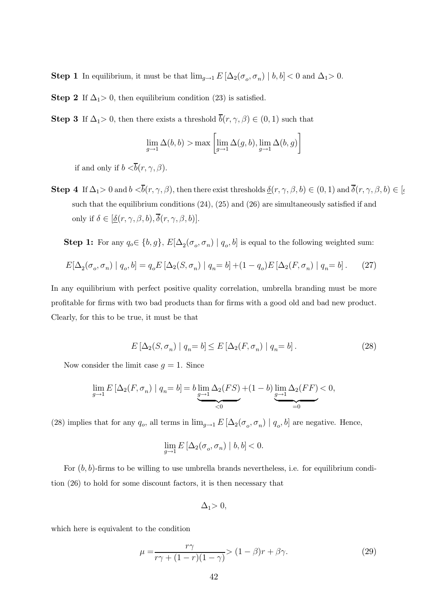Step 1 In equilibrium, it must be that  $\lim_{g\to 1} E[\Delta_2(\sigma_o, \sigma_n) | b, b] < 0$  and  $\Delta_1 > 0$ .

**Step 2** If  $\Delta_1 > 0$ , then equilibrium condition (23) is satisfied.

**Step 3** If  $\Delta_1 > 0$ , then there exists a threshold  $\overline{b}(r, \gamma, \beta) \in (0, 1)$  such that

$$
\lim_{g\to 1} \Delta(b,b) > \max\left[\lim_{g\to 1} \Delta(g,b), \lim_{g\to 1} \Delta(b,g)\right]
$$

if and only if  $b < \overline{b}(r, \gamma, \beta)$ .

**Step 4** If  $\Delta_1>0$  and  $b < \overline{b}(r, \gamma, \beta)$ , then there exist thresholds  $\underline{\delta}(r, \gamma, \beta, b) \in (0, 1)$  and  $\overline{\delta}(r, \gamma, \beta, b) \in [\alpha, \beta]$ such that the equilibrium conditions  $(24)$ ,  $(25)$  and  $(26)$  are simultaneously satisfied if and only if  $\delta \in [\underline{\delta}(r, \gamma, \beta, b), \overline{\delta}(r, \gamma, \beta, b)].$ 

**Step 1:** For any  $q_o \in \{b, g\}$ ,  $E[\Delta_2(\sigma_o, \sigma_n) | q_o, b]$  is equal to the following weighted sum:

$$
E[\Delta_2(\sigma_o, \sigma_n) | q_o, b] = q_o E[\Delta_2(S, \sigma_n) | q_n = b] + (1 - q_o) E[\Delta_2(F, \sigma_n) | q_n = b].
$$
 (27)

In any equilibrium with perfect positive quality correlation, umbrella branding must be more profitable for firms with two bad products than for firms with a good old and bad new product. Clearly, for this to be true, it must be that

$$
E\left[\Delta_2(S,\sigma_n) \mid q_n = b\right] \le E\left[\Delta_2(F,\sigma_n) \mid q_n = b\right].\tag{28}
$$

Now consider the limit case  $q = 1$ . Since

$$
\lim_{g\to 1} E\left[\Delta_2(F,\sigma_n)\mid q_n = b\right] = b \underbrace{\lim_{g\to 1} \Delta_2(FS)}_{<0} + (1-b) \underbrace{\lim_{g\to 1} \Delta_2(FF)}_{=0} < 0,
$$

(28) implies that for any  $q_o$ , all terms in  $\lim_{g\to 1} E\left[\Delta_2(\sigma_o, \sigma_n) \mid q_o, b\right]$  are negative. Hence,

$$
\lim_{g\to 1} E\left[\Delta_2(\sigma_o,\sigma_n)\mid b,b\right]<0.
$$

For  $(b, b)$ -firms to be willing to use umbrella brands nevertheless, i.e. for equilibrium condition (26) to hold for some discount factors, it is then necessary that

$$
\Delta_1>0,
$$

which here is equivalent to the condition

$$
\mu = \frac{r\gamma}{r\gamma + (1 - r)(1 - \gamma)} > (1 - \beta)r + \beta\gamma.
$$
\n(29)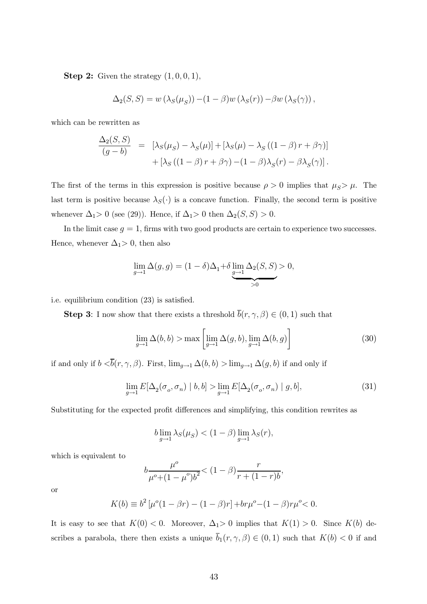**Step 2:** Given the strategy  $(1, 0, 0, 1)$ ,

$$
\Delta_2(S, S) = w(\lambda_S(\mu_S)) - (1 - \beta)w(\lambda_S(r)) - \beta w(\lambda_S(\gamma)),
$$

which can be rewritten as

$$
\frac{\Delta_2(S, S)}{(g - b)} = [\lambda_S(\mu_S) - \lambda_S(\mu)] + [\lambda_S(\mu) - \lambda_S((1 - \beta) r + \beta \gamma)] + [\lambda_S((1 - \beta) r + \beta \gamma) - (1 - \beta)\lambda_S(r) - \beta \lambda_S(\gamma)].
$$

The first of the terms in this expression is positive because  $\rho > 0$  implies that  $\mu_S > \mu$ . The last term is positive because  $\lambda_S(\cdot)$  is a concave function. Finally, the second term is positive whenever  $\Delta_1>0$  (see (29)). Hence, if  $\Delta_1>0$  then  $\Delta_2(S, S) > 0$ .

In the limit case  $g = 1$ , firms with two good products are certain to experience two successes. Hence, whenever  $\Delta_1>0$ , then also

$$
\lim_{g \to 1} \Delta(g, g) = (1 - \delta)\Delta_1 + \delta \underbrace{\lim_{g \to 1} \Delta_2(S, S)}_{>0} > 0,
$$

i.e. equilibrium condition (23) is satisfied.

**Step 3:** I now show that there exists a threshold  $\overline{b}(r, \gamma, \beta) \in (0, 1)$  such that

$$
\lim_{g \to 1} \Delta(b, b) > \max \left[ \lim_{g \to 1} \Delta(g, b), \lim_{g \to 1} \Delta(b, g) \right]
$$
 (30)

if and only if  $b < \overline{b}(r, \gamma, \beta)$ . First,  $\lim_{g\to 1} \Delta(b, b) > \lim_{g\to 1} \Delta(g, b)$  if and only if

$$
\lim_{g \to 1} E[\Delta_2(\sigma_o, \sigma_n) \mid b, b] > \lim_{g \to 1} E[\Delta_2(\sigma_o, \sigma_n) \mid g, b],
$$
\n(31)

Substituting for the expected profit differences and simplifying, this condition rewrites as

$$
b \lim_{g \to 1} \lambda_S(\mu_S) < (1 - \beta) \lim_{g \to 1} \lambda_S(r),
$$

which is equivalent to

$$
b\frac{\mu^o}{\mu^o + (1 - \mu^o)b^2} < (1 - \beta)\frac{r}{r + (1 - r)b},
$$

or

$$
K(b) \equiv b^2 \left[ \mu^o (1 - \beta r) - (1 - \beta) r \right] + br\mu^o - (1 - \beta) r\mu^o < 0.
$$

It is easy to see that  $K(0) < 0$ . Moreover,  $\Delta_1 > 0$  implies that  $K(1) > 0$ . Since  $K(b)$  describes a parabola, there then exists a unique  $\overline{b}_1(r, \gamma, \beta) \in (0, 1)$  such that  $K(b) < 0$  if and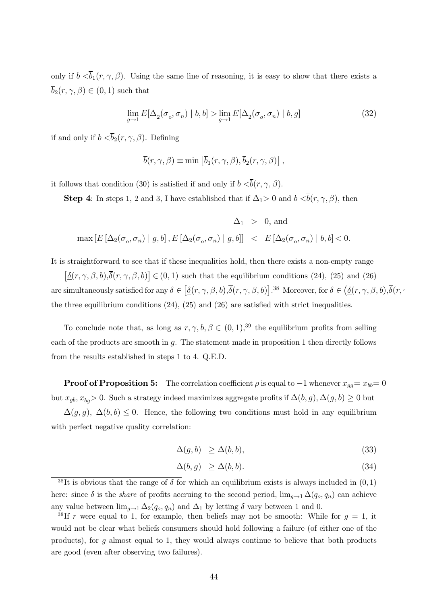only if  $b < \overline{b}_1(r, \gamma, \beta)$ . Using the same line of reasoning, it is easy to show that there exists a  $\overline{b}_2(r, \gamma, \beta) \in (0, 1)$  such that

$$
\lim_{g \to 1} E[\Delta_2(\sigma_o, \sigma_n) \mid b, b] > \lim_{g \to 1} E[\Delta_2(\sigma_o, \sigma_n) \mid b, g]
$$
\n(32)

if and only if  $b < \overline{b}_2(r, \gamma, \beta)$ . Defining

$$
\overline{b}(r, \gamma, \beta) \equiv \min \left[ \overline{b}_1(r, \gamma, \beta), \overline{b}_2(r, \gamma, \beta) \right],
$$

it follows that condition (30) is satisfied if and only if  $b < \overline{b}(r, \gamma, \beta)$ .

**Step 4:** In steps 1, 2 and 3, I have established that if  $\Delta_1 > 0$  and  $b < \overline{b}(r, \gamma, \beta)$ , then

$$
\Delta_1 \ > \ 0, \, \text{and}
$$
 
$$
\max\left[E\left[\Delta_2(\sigma_o,\sigma_n) \mid g,b\right], E\left[\Delta_2(\sigma_o,\sigma_n) \mid g,b\right]\right] \ < \ E\left[\Delta_2(\sigma_o,\sigma_n) \mid b,b\right] < 0.
$$

It is straightforward to see that if these inequalities hold, then there exists a non-empty range

 $\underline{\delta}(r, \gamma, \beta, b), \overline{\delta}(r, \gamma, \beta, b)] \in (0, 1)$  such that the equilibrium conditions (24), (25) and (26) are simultaneously satisfied for any  $\delta \in [\underline{\delta}(r, \gamma, \beta, b), \overline{\delta}(r, \gamma, \beta, b)].$ 38 Moreover, for  $\delta \in (\underline{\delta}(r, \gamma, \beta, b), \overline{\delta}(r, a))$ the three equilibrium conditions (24), (25) and (26) are satisfied with strict inequalities.

To conclude note that, as long as  $r, \gamma, b, \beta \in (0, 1),^{39}$  the equilibrium profits from selling each of the products are smooth in q. The statement made in proposition 1 then directly follows from the results established in steps 1 to 4. Q.E.D.

**Proof of Proposition 5:** The correlation coefficient  $\rho$  is equal to  $-1$  whenever  $x_{gg}=x_{bb}=0$ but  $x_{gb}, x_{bg} > 0$ . Such a strategy indeed maximizes aggregate profits if  $\Delta(b, g), \Delta(g, b) \geq 0$  but

 $\Delta(g, g)$ ,  $\Delta(b, b) \leq 0$ . Hence, the following two conditions must hold in any equilibrium with perfect negative quality correlation:

$$
\Delta(g, b) \ge \Delta(b, b), \tag{33}
$$

$$
\Delta(b, g) \ge \Delta(b, b). \tag{34}
$$

<sup>38</sup>It is obvious that the range of  $\delta$  for which an equilibrium exists is always included in  $(0, 1)$ here: since  $\delta$  is the *share* of profits accruing to the second period,  $\lim_{g\to 1} \Delta(q_o, q_n)$  can achieve any value between  $\lim_{g\to 1} \Delta_2(q_o, q_n)$  and  $\Delta_1$  by letting  $\delta$  vary between 1 and 0.

<sup>&</sup>lt;sup>39</sup>If r were equal to 1, for example, then beliefs may not be smooth: While for  $g = 1$ , it would not be clear what beliefs consumers should hold following a failure (of either one of the products), for  $q$  almost equal to 1, they would always continue to believe that both products are good (even after observing two failures).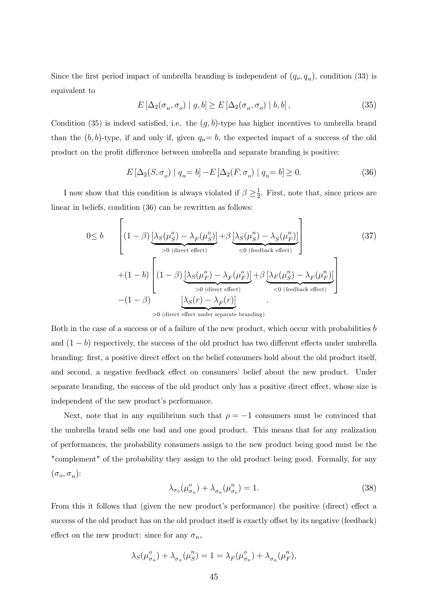Since the first period impact of umbrella branding is independent of  $(q_o, q_n)$ , condition (33) is equivalent to

$$
E\left[\Delta_2(\sigma_n, \sigma_o) \mid g, b\right] \ge E\left[\Delta_2(\sigma_n, \sigma_o) \mid b, b\right],\tag{35}
$$

Condition (35) is indeed satisfied, i.e. the  $(g, b)$ -type has higher incentives to umbrella brand than the  $(b, b)$ -type, if and only if, given  $q_n = b$ , the expected impact of a success of the old product on the profit difference between umbrella and separate branding is positive:

$$
E\left[\Delta_2(S,\sigma_o) \mid q_n = b\right] - E\left[\Delta_2(F,\sigma_o) \mid q_n = b\right] \ge 0. \tag{36}
$$

I now show that this condition is always violated if  $\beta \geq \frac{1}{2}$ . First, note that, since prices are linear in beliefs, condition (36) can be rewritten as follows:  $\overline{a}$  $\overline{a}$ 

$$
0 \leq b \qquad \left[ (1 - \beta) \underbrace{\left[ \lambda_S(\mu_S^o) - \lambda_F(\mu_S^o) \right] + \beta \underbrace{\left[ \lambda_S(\mu_S^n) - \lambda_S(\mu_F^n) \right]}_{< 0 \text{ (feedback effect)}} \right] \tag{37}
$$
\n
$$
+ (1 - b) \left[ (1 - \beta) \underbrace{\left[ \lambda_S(\mu_F^o) - \lambda_F(\mu_F^o) \right]}_{> 0 \text{ (direct effect)}} + \beta \underbrace{\left[ \lambda_F(\mu_S^n) - \lambda_F(\mu_F^n) \right]}_{< 0 \text{ (feedback effect)}} \right]
$$
\n
$$
- (1 - \beta) \underbrace{\left[ \lambda_S(r) - \lambda_F(r) \right]}_{> 0 \text{ (direct effect under separate branching) }} .
$$
\n
$$
(37)
$$

Both in the case of a success or of a failure of the new product, which occur with probabilities  $b$ and  $(1 - b)$  respectively, the success of the old product has two different effects under umbrella branding: first, a positive direct effect on the belief consumers hold about the old product itself, and second, a negative feedback effect on consumers' belief about the new product. Under separate branding, the success of the old product only has a positive direct effect, whose size is independent of the new product's performance.

Next, note that in any equilibrium such that  $\rho = -1$  consumers must be convinced that the umbrella brand sells one bad and one good product. This means that for any realization of performances, the probability consumers assign to the new product being good must be the "complement" of the probability they assign to the old product being good. Formally, for any  $(\sigma_o, \sigma_n)$ :

$$
\lambda_{\sigma_o}(\mu_{\sigma_n}^o) + \lambda_{\sigma_n}(\mu_{\sigma_o}^n) = 1.
$$
\n(38)

From this it follows that (given the new product's performance) the positive (direct) effect a success of the old product has on the old product itself is exactly offset by its negative (feedback) effect on the new product: since for any  $\sigma_n$ ,

$$
\lambda_S(\mu_{\sigma_n}^o) + \lambda_{\sigma_n}(\mu_S^n) = 1 = \lambda_F(\mu_{\sigma_n}^o) + \lambda_{\sigma_n}(\mu_F^n),
$$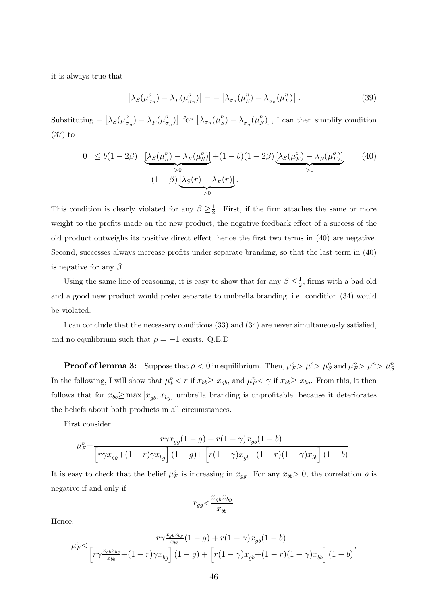it is always true that

$$
\left[\lambda_S(\mu_{\sigma_n}^o) - \lambda_F(\mu_{\sigma_n}^o)\right] = -\left[\lambda_{\sigma_n}(\mu_S^n) - \lambda_{\sigma_n}(\mu_F^n)\right].\tag{39}
$$

Substituting  $\lceil$  $\lambda_S(\mu_{\sigma_n}^o) - \lambda_F(\mu_{\sigma_n}^o)$  $\int$  for  $\int$  $\lambda_{\sigma_n}(\mu_S^n) - \lambda_{\sigma_n}(\mu_F^n)$ , I can then simplify condition (37) to

$$
0 \leq b(1 - 2\beta) \underbrace{\left[\lambda_S(\mu_S^o) - \lambda_F(\mu_S^o)\right]}_{>0} + (1 - b)(1 - 2\beta) \underbrace{\left[\lambda_S(\mu_F^o) - \lambda_F(\mu_F^o)\right]}_{>0} \tag{40}
$$
  

$$
-(1 - \beta) \underbrace{\left[\lambda_S(r) - \lambda_F(r)\right]}_{>0}.
$$

This condition is clearly violated for any  $\beta \geq \frac{1}{2}$ . First, if the firm attaches the same or more weight to the profits made on the new product, the negative feedback effect of a success of the old product outweighs its positive direct effect, hence the first two terms in (40) are negative. Second, successes always increase profits under separate branding, so that the last term in (40) is negative for any  $\beta$ .

Using the same line of reasoning, it is easy to show that for any  $\beta \leq \frac{1}{2}$ , firms with a bad old and a good new product would prefer separate to umbrella branding, i.e. condition (34) would be violated.

I can conclude that the necessary conditions (33) and (34) are never simultaneously satisfied, and no equilibrium such that  $\rho = -1$  exists. Q.E.D.

**Proof of lemma 3:** Suppose that  $\rho < 0$  in equilibrium. Then,  $\mu_F^o > \mu_S^o > \mu_S^o$  and  $\mu_F^n > \mu^n > \mu_S^n$ . In the following, I will show that  $\mu_F^o < r$  if  $x_{bb} \ge x_{gb}$ , and  $\mu_F^n < \gamma$  if  $x_{bb} \ge x_{bg}$ . From this, it then follows that for  $x_{bb} \ge \max [x_{qb}, x_{bg}]$  umbrella branding is unprofitable, because it deteriorates the beliefs about both products in all circumstances.

First consider

$$
\mu_F^o = \frac{r\gamma x_{gg}(1-g) + r(1-\gamma)x_{gb}(1-b)}{\left[r\gamma x_{gg} + (1-r)\gamma x_{bg}\right](1-g) + \left[r(1-\gamma)x_{gb} + (1-r)(1-\gamma)x_{bb}\right](1-b)}
$$

It is easy to check that the belief  $\mu_F^o$  is increasing in  $x_{gg}$ . For any  $x_{bb} > 0$ , the correlation  $\rho$  is negative if and only if

$$
x_{gg} < \frac{x_{gb}x_{bg}}{x_{bb}}.
$$

Hence,

$$
\mu_F^o < \frac{r\gamma \frac{x_{gb}x_{bg}}{x_{bb}}(1-g) + r(1-\gamma)x_{gb}(1-b)}{\left[r\gamma \frac{x_{gb}x_{bg}}{x_{bb}} + (1-r)\gamma x_{bg}\right](1-g) + \left[r(1-\gamma)x_{gb} + (1-r)(1-\gamma)x_{bb}\right](1-b)},
$$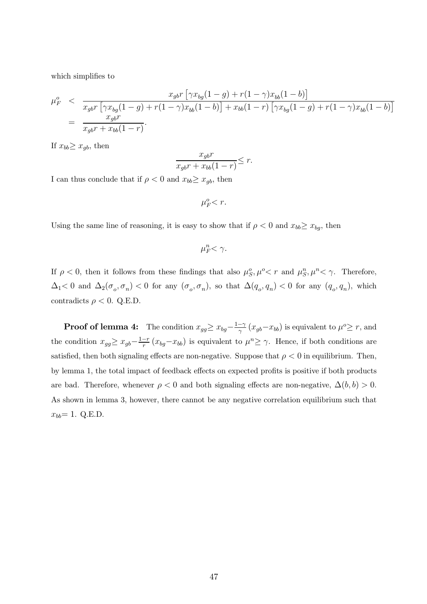which simplifies to

$$
\mu_F^o \leq \frac{x_{gb}r \left[ \gamma x_{bg}(1-g) + r(1-\gamma)x_{bb}(1-b) \right]}{x_{gb}r \left[ \gamma x_{bg}(1-g) + r(1-\gamma)x_{bb}(1-b) \right] + x_{bb}(1-r) \left[ \gamma x_{bg}(1-g) + r(1-\gamma)x_{bb}(1-b) \right]} = \frac{x_{gb}r}{x_{gb}r + x_{bb}(1-r)}.
$$

If  $x_{bb} \geq x_{ab}$ , then

$$
\frac{x_{gb}r}{x_{gb}r + x_{bb}(1-r)} \leq r.
$$

I can thus conclude that if  $\rho < 0$  and  $x_{bb} \ge x_{gb}$ , then

 $\mu_F^o < r$ .

Using the same line of reasoning, it is easy to show that if  $\rho < 0$  and  $x_{bb} \ge x_{bg}$ , then

 $\mu_F^n < \gamma$ .

If  $\rho < 0$ , then it follows from these findings that also  $\mu_S^o, \mu^o < r$  and  $\mu_S^n, \mu^n < \gamma$ . Therefore,  $\Delta_1$ < 0 and  $\Delta_2(\sigma_o, \sigma_n)$  < 0 for any  $(\sigma_o, \sigma_n)$ , so that  $\Delta(q_o, q_n)$  < 0 for any  $(q_o, q_n)$ , which contradicts  $\rho < 0$ . Q.E.D.

**Proof of lemma 4:** The condition  $x_{gg} \ge x_{bg} - \frac{1-\gamma}{\gamma} (x_{gb} - x_{bb})$  is equivalent to  $\mu^o \ge r$ , and the condition  $x_{gg} \ge x_{gb} - \frac{1-r}{r} (x_{bg} - x_{bb})$  is equivalent to  $\mu^n \ge \gamma$ . Hence, if both conditions are satisfied, then both signaling effects are non-negative. Suppose that  $\rho < 0$  in equilibrium. Then, by lemma 1, the total impact of feedback effects on expected profits is positive if both products are bad. Therefore, whenever  $\rho < 0$  and both signaling effects are non-negative,  $\Delta(b, b) > 0$ . As shown in lemma 3, however, there cannot be any negative correlation equilibrium such that  $x_{bb} = 1.$  Q.E.D.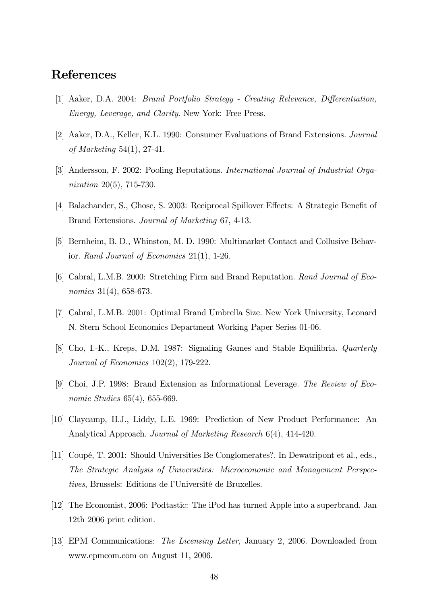# References

- [1] Aaker, D.A. 2004: Brand Portfolio Strategy Creating Relevance, Differentiation, Energy, Leverage, and Clarity. New York: Free Press.
- [2] Aaker, D.A., Keller, K.L. 1990: Consumer Evaluations of Brand Extensions. Journal of Marketing 54(1), 27-41.
- [3] Andersson, F. 2002: Pooling Reputations. International Journal of Industrial Organization 20(5), 715-730.
- [4] Balachander, S., Ghose, S. 2003: Reciprocal Spillover Effects: A Strategic Benefit of Brand Extensions. Journal of Marketing 67, 4-13.
- [5] Bernheim, B. D., Whinston, M. D. 1990: Multimarket Contact and Collusive Behavior. Rand Journal of Economics 21(1), 1-26.
- [6] Cabral, L.M.B. 2000: Stretching Firm and Brand Reputation. Rand Journal of Economics 31(4), 658-673.
- [7] Cabral, L.M.B. 2001: Optimal Brand Umbrella Size. New York University, Leonard N. Stern School Economics Department Working Paper Series 01-06.
- [8] Cho, I.-K., Kreps, D.M. 1987: Signaling Games and Stable Equilibria. Quarterly Journal of Economics 102(2), 179-222.
- [9] Choi, J.P. 1998: Brand Extension as Informational Leverage. The Review of Economic Studies 65(4), 655-669.
- [10] Claycamp, H.J., Liddy, L.E. 1969: Prediction of New Product Performance: An Analytical Approach. Journal of Marketing Research 6(4), 414-420.
- [11] Coupé, T. 2001: Should Universities Be Conglomerates?. In Dewatripont et al., eds., The Strategic Analysis of Universities: Microeconomic and Management Perspectives, Brussels: Editions de l'Université de Bruxelles.
- [12] The Economist, 2006: Podtastic: The iPod has turned Apple into a superbrand. Jan 12th 2006 print edition.
- [13] EPM Communications: The Licensing Letter, January 2, 2006. Downloaded from www.epmcom.com on August 11, 2006.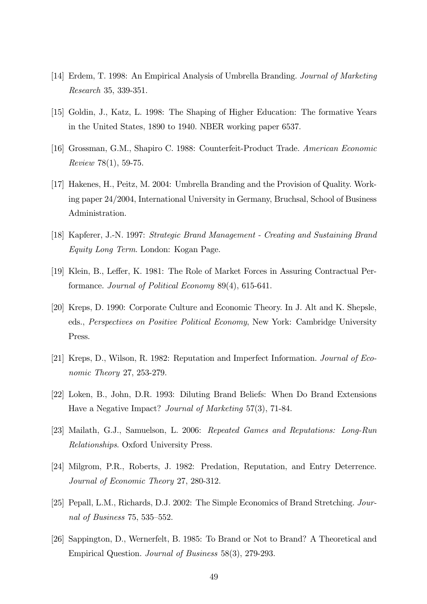- [14] Erdem, T. 1998: An Empirical Analysis of Umbrella Branding. Journal of Marketing Research 35, 339-351.
- [15] Goldin, J., Katz, L. 1998: The Shaping of Higher Education: The formative Years in the United States, 1890 to 1940. NBER working paper 6537.
- [16] Grossman, G.M., Shapiro C. 1988: Counterfeit-Product Trade. American Economic Review 78(1), 59-75.
- [17] Hakenes, H., Peitz, M. 2004: Umbrella Branding and the Provision of Quality. Working paper 24/2004, International University in Germany, Bruchsal, School of Business Administration.
- [18] Kapferer, J.-N. 1997: Strategic Brand Management Creating and Sustaining Brand Equity Long Term. London: Kogan Page.
- [19] Klein, B., Leffer, K. 1981: The Role of Market Forces in Assuring Contractual Performance. Journal of Political Economy 89(4), 615-641.
- [20] Kreps, D. 1990: Corporate Culture and Economic Theory. In J. Alt and K. Shepsle, eds., Perspectives on Positive Political Economy, New York: Cambridge University Press.
- [21] Kreps, D., Wilson, R. 1982: Reputation and Imperfect Information. Journal of Economic Theory 27, 253-279.
- [22] Loken, B., John, D.R. 1993: Diluting Brand Beliefs: When Do Brand Extensions Have a Negative Impact? Journal of Marketing 57(3), 71-84.
- [23] Mailath, G.J., Samuelson, L. 2006: Repeated Games and Reputations: Long-Run Relationships. Oxford University Press.
- [24] Milgrom, P.R., Roberts, J. 1982: Predation, Reputation, and Entry Deterrence. Journal of Economic Theory 27, 280-312.
- [25] Pepall, L.M., Richards, D.J. 2002: The Simple Economics of Brand Stretching. Journal of Business 75, 535—552.
- [26] Sappington, D., Wernerfelt, B. 1985: To Brand or Not to Brand? A Theoretical and Empirical Question. Journal of Business 58(3), 279-293.